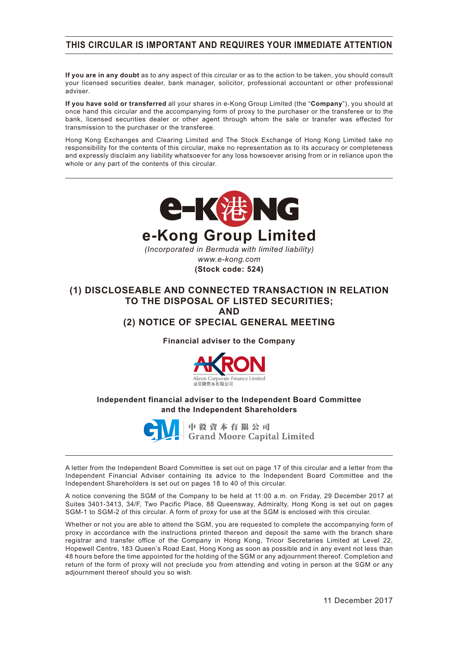## **THIS CIRCULAR IS IMPORTANT AND REQUIRES YOUR IMMEDIATE ATTENTION**

**If you are in any doubt** as to any aspect of this circular or as to the action to be taken, you should consult your licensed securities dealer, bank manager, solicitor, professional accountant or other professional adviser.

**If you have sold or transferred** all your shares in e-Kong Group Limited (the "**Company**"), you should at once hand this circular and the accompanying form of proxy to the purchaser or the transferee or to the bank, licensed securities dealer or other agent through whom the sale or transfer was effected for transmission to the purchaser or the transferee.

Hong Kong Exchanges and Clearing Limited and The Stock Exchange of Hong Kong Limited take no responsibility for the contents of this circular, make no representation as to its accuracy or completeness and expressly disclaim any liability whatsoever for any loss howsoever arising from or in reliance upon the whole or any part of the contents of this circular.



### **(1) DISCLOSEABLE AND CONNECTED TRANSACTION IN RELATION TO THE DISPOSAL OF LISTED SECURITIES; AND (2) NOTICE OF SPECIAL GENERAL MEETING**

**Financial adviser to the Company**



#### **Independent financial adviser to the Independent Board Committee and the Independent Shareholders**



中毅資本有限公司 **Grand Moore Capital Limited** 

A letter from the Independent Board Committee is set out on page 17 of this circular and a letter from the Independent Financial Adviser containing its advice to the Independent Board Committee and the Independent Shareholders is set out on pages 18 to 40 of this circular.

A notice convening the SGM of the Company to be held at 11:00 a.m. on Friday, 29 December 2017 at Suites 3401-3413, 34/F, Two Pacific Place, 88 Queensway, Admiralty, Hong Kong is set out on pages SGM-1 to SGM-2 of this circular. A form of proxy for use at the SGM is enclosed with this circular.

Whether or not you are able to attend the SGM, you are requested to complete the accompanying form of proxy in accordance with the instructions printed thereon and deposit the same with the branch share registrar and transfer office of the Company in Hong Kong, Tricor Secretaries Limited at Level 22, Hopewell Centre, 183 Queen's Road East, Hong Kong as soon as possible and in any event not less than 48 hours before the time appointed for the holding of the SGM or any adjournment thereof. Completion and return of the form of proxy will not preclude you from attending and voting in person at the SGM or any adjournment thereof should you so wish.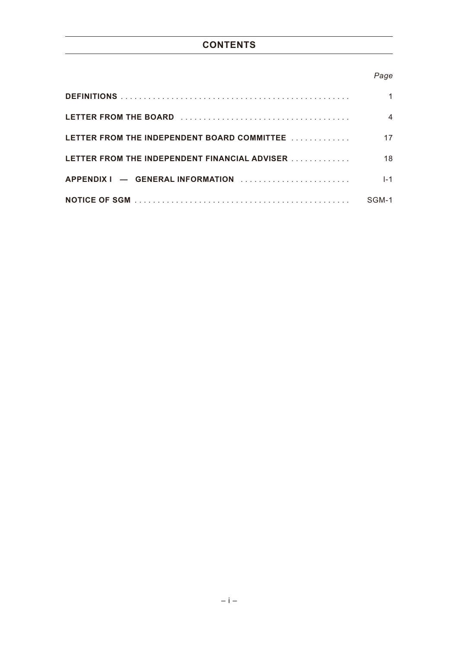# **CONTENTS**

## *Page*

| LETTER FROM THE INDEPENDENT BOARD COMMITTEE                                    |         |
|--------------------------------------------------------------------------------|---------|
| LETTER FROM THE INDEPENDENT FINANCIAL ADVISER                                  | 18.     |
| $APPENDIX I$ - GENERAL INFORMATION $\ldots \ldots \ldots \ldots \ldots \ldots$ | $I - 1$ |
|                                                                                | SGM-1   |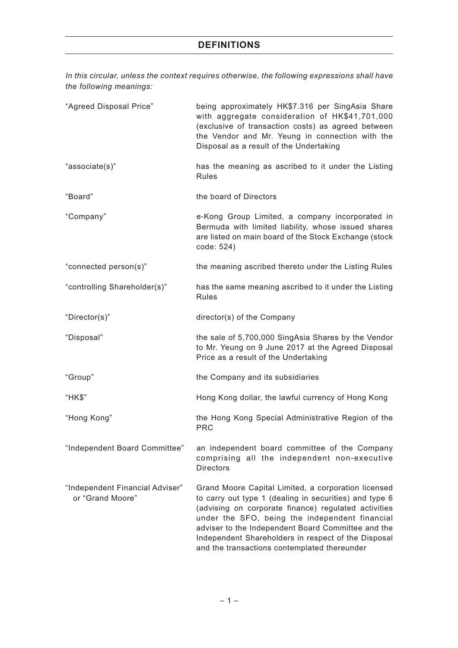*In this circular, unless the context requires otherwise, the following expressions shall have the following meanings:*

| "Agreed Disposal Price"                             | being approximately HK\$7.316 per SingAsia Share<br>with aggregate consideration of HK\$41,701,000<br>(exclusive of transaction costs) as agreed between<br>the Vendor and Mr. Yeung in connection with the<br>Disposal as a result of the Undertaking                                                                                                                               |
|-----------------------------------------------------|--------------------------------------------------------------------------------------------------------------------------------------------------------------------------------------------------------------------------------------------------------------------------------------------------------------------------------------------------------------------------------------|
| "associate(s)"                                      | has the meaning as ascribed to it under the Listing<br>Rules                                                                                                                                                                                                                                                                                                                         |
| "Board"                                             | the board of Directors                                                                                                                                                                                                                                                                                                                                                               |
| "Company"                                           | e-Kong Group Limited, a company incorporated in<br>Bermuda with limited liability, whose issued shares<br>are listed on main board of the Stock Exchange (stock<br>code: 524)                                                                                                                                                                                                        |
| "connected person(s)"                               | the meaning ascribed thereto under the Listing Rules                                                                                                                                                                                                                                                                                                                                 |
| "controlling Shareholder(s)"                        | has the same meaning ascribed to it under the Listing<br>Rules                                                                                                                                                                                                                                                                                                                       |
| "Director(s)"                                       | director(s) of the Company                                                                                                                                                                                                                                                                                                                                                           |
| "Disposal"                                          | the sale of 5,700,000 SingAsia Shares by the Vendor<br>to Mr. Yeung on 9 June 2017 at the Agreed Disposal<br>Price as a result of the Undertaking                                                                                                                                                                                                                                    |
| "Group"                                             | the Company and its subsidiaries                                                                                                                                                                                                                                                                                                                                                     |
| "HK\$"                                              | Hong Kong dollar, the lawful currency of Hong Kong                                                                                                                                                                                                                                                                                                                                   |
| "Hong Kong"                                         | the Hong Kong Special Administrative Region of the<br><b>PRC</b>                                                                                                                                                                                                                                                                                                                     |
| Independent Board Committee"                        | an independent board committee of the Company<br>comprising all the independent non-executive<br><b>Directors</b>                                                                                                                                                                                                                                                                    |
| "Independent Financial Adviser"<br>or "Grand Moore" | Grand Moore Capital Limited, a corporation licensed<br>to carry out type 1 (dealing in securities) and type 6<br>(advising on corporate finance) regulated activities<br>under the SFO, being the independent financial<br>adviser to the Independent Board Committee and the<br>Independent Shareholders in respect of the Disposal<br>and the transactions contemplated thereunder |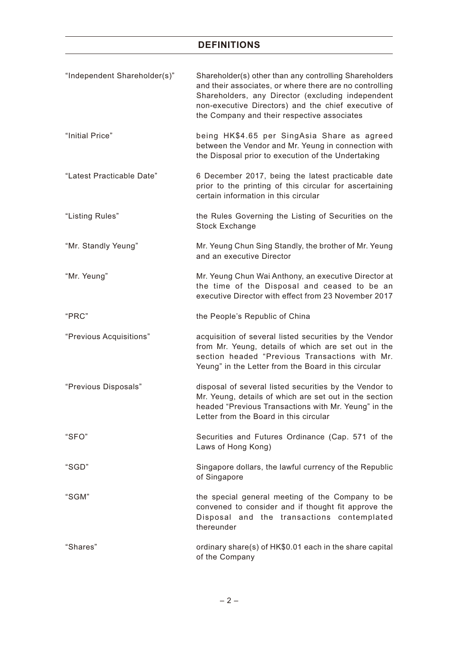# **DEFINITIONS**

| "Independent Shareholder(s)" | Shareholder(s) other than any controlling Shareholders<br>and their associates, or where there are no controlling<br>Shareholders, any Director (excluding independent<br>non-executive Directors) and the chief executive of<br>the Company and their respective associates |
|------------------------------|------------------------------------------------------------------------------------------------------------------------------------------------------------------------------------------------------------------------------------------------------------------------------|
| "Initial Price"              | being HK\$4.65 per SingAsia Share as agreed<br>between the Vendor and Mr. Yeung in connection with<br>the Disposal prior to execution of the Undertaking                                                                                                                     |
| "Latest Practicable Date"    | 6 December 2017, being the latest practicable date<br>prior to the printing of this circular for ascertaining<br>certain information in this circular                                                                                                                        |
| "Listing Rules"              | the Rules Governing the Listing of Securities on the<br><b>Stock Exchange</b>                                                                                                                                                                                                |
| "Mr. Standly Yeung"          | Mr. Yeung Chun Sing Standly, the brother of Mr. Yeung<br>and an executive Director                                                                                                                                                                                           |
| "Mr. Yeung"                  | Mr. Yeung Chun Wai Anthony, an executive Director at<br>the time of the Disposal and ceased to be an<br>executive Director with effect from 23 November 2017                                                                                                                 |
| "PRC"                        | the People's Republic of China                                                                                                                                                                                                                                               |
| "Previous Acquisitions"      | acquisition of several listed securities by the Vendor<br>from Mr. Yeung, details of which are set out in the<br>section headed "Previous Transactions with Mr.<br>Yeung" in the Letter from the Board in this circular                                                      |
| "Previous Disposals"         | disposal of several listed securities by the Vendor to<br>Mr. Yeung, details of which are set out in the section<br>headed "Previous Transactions with Mr. Yeung" in the<br>Letter from the Board in this circular                                                           |
| "SFO"                        | Securities and Futures Ordinance (Cap. 571 of the<br>Laws of Hong Kong)                                                                                                                                                                                                      |
| "SGD"                        | Singapore dollars, the lawful currency of the Republic<br>of Singapore                                                                                                                                                                                                       |
| "SGM"                        | the special general meeting of the Company to be<br>convened to consider and if thought fit approve the<br>Disposal and the transactions contemplated<br>thereunder                                                                                                          |
| "Shares"                     | ordinary share(s) of HK\$0.01 each in the share capital<br>of the Company                                                                                                                                                                                                    |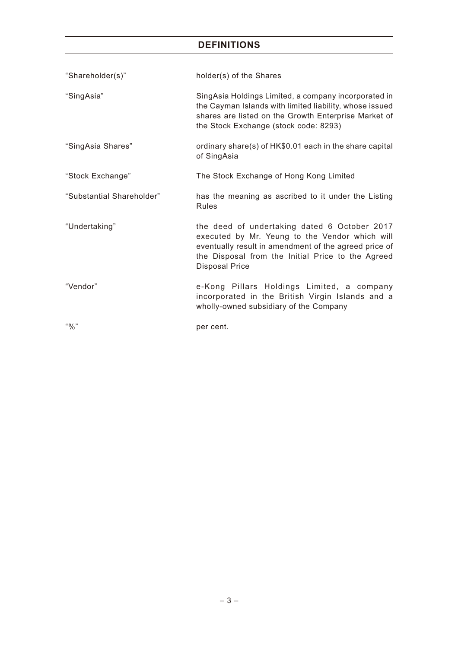# **DEFINITIONS**

| "Shareholder(s)"          | holder(s) of the Shares                                                                                                                                                                                                               |
|---------------------------|---------------------------------------------------------------------------------------------------------------------------------------------------------------------------------------------------------------------------------------|
| "SingAsia"                | SingAsia Holdings Limited, a company incorporated in<br>the Cayman Islands with limited liability, whose issued<br>shares are listed on the Growth Enterprise Market of<br>the Stock Exchange (stock code: 8293)                      |
| "SingAsia Shares"         | ordinary share(s) of HK\$0.01 each in the share capital<br>of SingAsia                                                                                                                                                                |
| "Stock Exchange"          | The Stock Exchange of Hong Kong Limited                                                                                                                                                                                               |
| "Substantial Shareholder" | has the meaning as ascribed to it under the Listing<br><b>Rules</b>                                                                                                                                                                   |
| "Undertaking"             | the deed of undertaking dated 6 October 2017<br>executed by Mr. Yeung to the Vendor which will<br>eventually result in amendment of the agreed price of<br>the Disposal from the Initial Price to the Agreed<br><b>Disposal Price</b> |
| "Vendor"                  | e-Kong Pillars Holdings Limited, a company<br>incorporated in the British Virgin Islands and a<br>wholly-owned subsidiary of the Company                                                                                              |
| "9/0"                     | per cent.                                                                                                                                                                                                                             |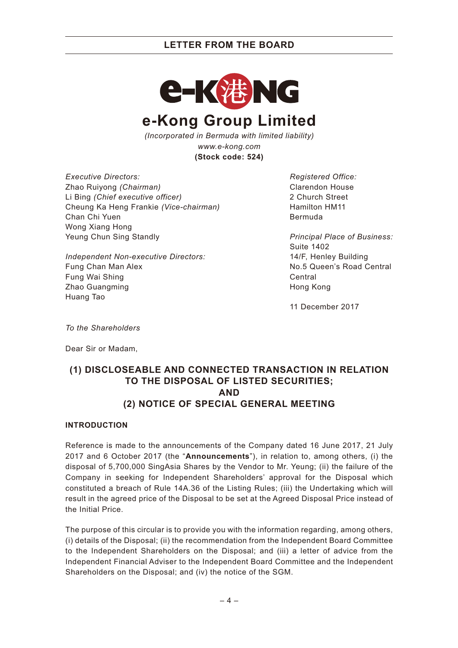

*(Incorporated in Bermuda with limited liability) www.e-kong.com* **(Stock code: 524)**

*Executive Directors:* Zhao Ruiyong *(Chairman)* Li Bing *(Chief executive officer)* Cheung Ka Heng Frankie *(Vice-chairman)* Chan Chi Yuen Wong Xiang Hong Yeung Chun Sing Standly

*Independent Non-executive Directors:* Fung Chan Man Alex Fung Wai Shing Zhao Guangming Huang Tao

*Registered Office:* Clarendon House 2 Church Street Hamilton HM11 Bermuda

*Principal Place of Business:* Suite 1402 14/F, Henley Building No.5 Queen's Road Central Central Hong Kong

11 December 2017

*To the Shareholders*

Dear Sir or Madam,

## **(1) DISCLOSEABLE AND CONNECTED TRANSACTION IN RELATION TO THE DISPOSAL OF LISTED SECURITIES; AND (2) NOTICE OF SPECIAL GENERAL MEETING**

### **INTRODUCTION**

Reference is made to the announcements of the Company dated 16 June 2017, 21 July 2017 and 6 October 2017 (the "**Announcements**"), in relation to, among others, (i) the disposal of 5,700,000 SingAsia Shares by the Vendor to Mr. Yeung; (ii) the failure of the Company in seeking for Independent Shareholders' approval for the Disposal which constituted a breach of Rule 14A.36 of the Listing Rules; (iii) the Undertaking which will result in the agreed price of the Disposal to be set at the Agreed Disposal Price instead of the Initial Price.

The purpose of this circular is to provide you with the information regarding, among others, (i) details of the Disposal; (ii) the recommendation from the Independent Board Committee to the Independent Shareholders on the Disposal; and (iii) a letter of advice from the Independent Financial Adviser to the Independent Board Committee and the Independent Shareholders on the Disposal; and (iv) the notice of the SGM.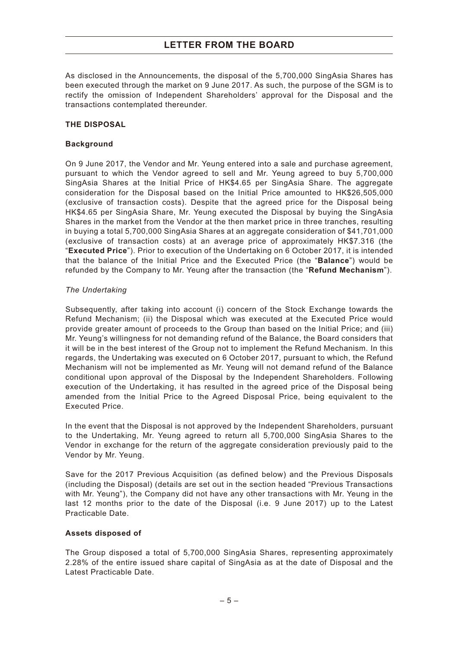As disclosed in the Announcements, the disposal of the 5,700,000 SingAsia Shares has been executed through the market on 9 June 2017. As such, the purpose of the SGM is to rectify the omission of Independent Shareholders' approval for the Disposal and the transactions contemplated thereunder.

#### **THE DISPOSAL**

#### **Background**

On 9 June 2017, the Vendor and Mr. Yeung entered into a sale and purchase agreement, pursuant to which the Vendor agreed to sell and Mr. Yeung agreed to buy 5,700,000 SingAsia Shares at the Initial Price of HK\$4.65 per SingAsia Share. The aggregate consideration for the Disposal based on the Initial Price amounted to HK\$26,505,000 (exclusive of transaction costs). Despite that the agreed price for the Disposal being HK\$4.65 per SingAsia Share, Mr. Yeung executed the Disposal by buying the SingAsia Shares in the market from the Vendor at the then market price in three tranches, resulting in buying a total 5,700,000 SingAsia Shares at an aggregate consideration of \$41,701,000 (exclusive of transaction costs) at an average price of approximately HK\$7.316 (the "**Executed Price**"). Prior to execution of the Undertaking on 6 October 2017, it is intended that the balance of the Initial Price and the Executed Price (the "**Balance**") would be refunded by the Company to Mr. Yeung after the transaction (the "**Refund Mechanism**").

#### *The Undertaking*

Subsequently, after taking into account (i) concern of the Stock Exchange towards the Refund Mechanism; (ii) the Disposal which was executed at the Executed Price would provide greater amount of proceeds to the Group than based on the Initial Price; and (iii) Mr. Yeung's willingness for not demanding refund of the Balance, the Board considers that it will be in the best interest of the Group not to implement the Refund Mechanism. In this regards, the Undertaking was executed on 6 October 2017, pursuant to which, the Refund Mechanism will not be implemented as Mr. Yeung will not demand refund of the Balance conditional upon approval of the Disposal by the Independent Shareholders. Following execution of the Undertaking, it has resulted in the agreed price of the Disposal being amended from the Initial Price to the Agreed Disposal Price, being equivalent to the Executed Price.

In the event that the Disposal is not approved by the Independent Shareholders, pursuant to the Undertaking, Mr. Yeung agreed to return all 5,700,000 SingAsia Shares to the Vendor in exchange for the return of the aggregate consideration previously paid to the Vendor by Mr. Yeung.

Save for the 2017 Previous Acquisition (as defined below) and the Previous Disposals (including the Disposal) (details are set out in the section headed "Previous Transactions with Mr. Yeung"), the Company did not have any other transactions with Mr. Yeung in the last 12 months prior to the date of the Disposal (i.e. 9 June 2017) up to the Latest Practicable Date.

#### **Assets disposed of**

The Group disposed a total of 5,700,000 SingAsia Shares, representing approximately 2.28% of the entire issued share capital of SingAsia as at the date of Disposal and the Latest Practicable Date.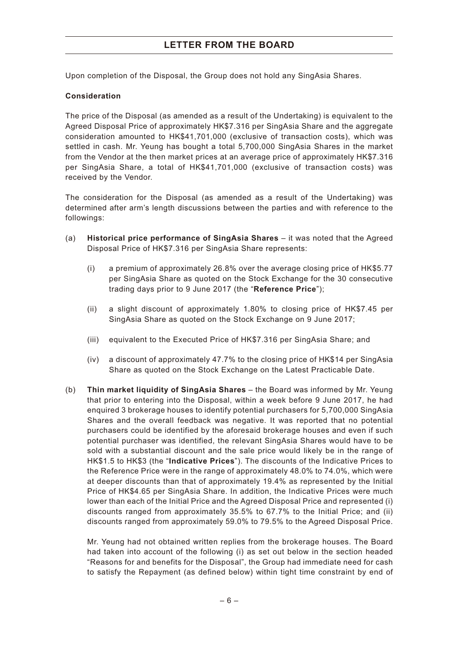Upon completion of the Disposal, the Group does not hold any SingAsia Shares.

#### **Consideration**

The price of the Disposal (as amended as a result of the Undertaking) is equivalent to the Agreed Disposal Price of approximately HK\$7.316 per SingAsia Share and the aggregate consideration amounted to HK\$41,701,000 (exclusive of transaction costs), which was settled in cash. Mr. Yeung has bought a total 5,700,000 SingAsia Shares in the market from the Vendor at the then market prices at an average price of approximately HK\$7.316 per SingAsia Share, a total of HK\$41,701,000 (exclusive of transaction costs) was received by the Vendor.

The consideration for the Disposal (as amended as a result of the Undertaking) was determined after arm's length discussions between the parties and with reference to the followings:

- (a) **Historical price performance of SingAsia Shares** it was noted that the Agreed Disposal Price of HK\$7.316 per SingAsia Share represents:
	- (i) a premium of approximately 26.8% over the average closing price of HK\$5.77 per SingAsia Share as quoted on the Stock Exchange for the 30 consecutive trading days prior to 9 June 2017 (the "**Reference Price**");
	- (ii) a slight discount of approximately 1.80% to closing price of HK\$7.45 per SingAsia Share as quoted on the Stock Exchange on 9 June 2017;
	- (iii) equivalent to the Executed Price of HK\$7.316 per SingAsia Share; and
	- (iv) a discount of approximately 47.7% to the closing price of HK\$14 per SingAsia Share as quoted on the Stock Exchange on the Latest Practicable Date.
- (b) **Thin market liquidity of SingAsia Shares** the Board was informed by Mr. Yeung that prior to entering into the Disposal, within a week before 9 June 2017, he had enquired 3 brokerage houses to identify potential purchasers for 5,700,000 SingAsia Shares and the overall feedback was negative. It was reported that no potential purchasers could be identified by the aforesaid brokerage houses and even if such potential purchaser was identified, the relevant SingAsia Shares would have to be sold with a substantial discount and the sale price would likely be in the range of HK\$1.5 to HK\$3 (the "**Indicative Prices**"). The discounts of the Indicative Prices to the Reference Price were in the range of approximately 48.0% to 74.0%, which were at deeper discounts than that of approximately 19.4% as represented by the Initial Price of HK\$4.65 per SingAsia Share. In addition, the Indicative Prices were much lower than each of the Initial Price and the Agreed Disposal Price and represented (i) discounts ranged from approximately 35.5% to 67.7% to the Initial Price; and (ii) discounts ranged from approximately 59.0% to 79.5% to the Agreed Disposal Price.

Mr. Yeung had not obtained written replies from the brokerage houses. The Board had taken into account of the following (i) as set out below in the section headed "Reasons for and benefits for the Disposal", the Group had immediate need for cash to satisfy the Repayment (as defined below) within tight time constraint by end of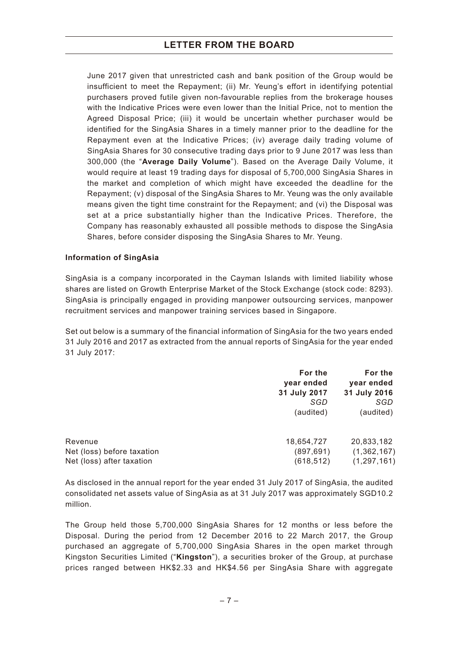June 2017 given that unrestricted cash and bank position of the Group would be insufficient to meet the Repayment; (ii) Mr. Yeung's effort in identifying potential purchasers proved futile given non-favourable replies from the brokerage houses with the Indicative Prices were even lower than the Initial Price, not to mention the Agreed Disposal Price; (iii) it would be uncertain whether purchaser would be identified for the SingAsia Shares in a timely manner prior to the deadline for the Repayment even at the Indicative Prices; (iv) average daily trading volume of SingAsia Shares for 30 consecutive trading days prior to 9 June 2017 was less than 300,000 (the "**Average Daily Volume**"). Based on the Average Daily Volume, it would require at least 19 trading days for disposal of 5,700,000 SingAsia Shares in the market and completion of which might have exceeded the deadline for the Repayment; (v) disposal of the SingAsia Shares to Mr. Yeung was the only available means given the tight time constraint for the Repayment; and (vi) the Disposal was set at a price substantially higher than the Indicative Prices. Therefore, the Company has reasonably exhausted all possible methods to dispose the SingAsia Shares, before consider disposing the SingAsia Shares to Mr. Yeung.

#### **Information of SingAsia**

SingAsia is a company incorporated in the Cayman Islands with limited liability whose shares are listed on Growth Enterprise Market of the Stock Exchange (stock code: 8293). SingAsia is principally engaged in providing manpower outsourcing services, manpower recruitment services and manpower training services based in Singapore.

Set out below is a summary of the financial information of SingAsia for the two years ended 31 July 2016 and 2017 as extracted from the annual reports of SingAsia for the year ended 31 July 2017:

|                            | For the<br>year ended | For the<br>year ended |
|----------------------------|-----------------------|-----------------------|
|                            | 31 July 2017          | 31 July 2016          |
|                            | SGD                   | SGD                   |
|                            | (audited)             | (audited)             |
| Revenue                    | 18,654,727            | 20,833,182            |
| Net (loss) before taxation | (897, 691)            | (1, 362, 167)         |
| Net (loss) after taxation  | (618, 512)            | (1, 297, 161)         |

As disclosed in the annual report for the year ended 31 July 2017 of SingAsia, the audited consolidated net assets value of SingAsia as at 31 July 2017 was approximately SGD10.2 million.

The Group held those 5,700,000 SingAsia Shares for 12 months or less before the Disposal. During the period from 12 December 2016 to 22 March 2017, the Group purchased an aggregate of 5,700,000 SingAsia Shares in the open market through Kingston Securities Limited ("**Kingston**"), a securities broker of the Group, at purchase prices ranged between HK\$2.33 and HK\$4.56 per SingAsia Share with aggregate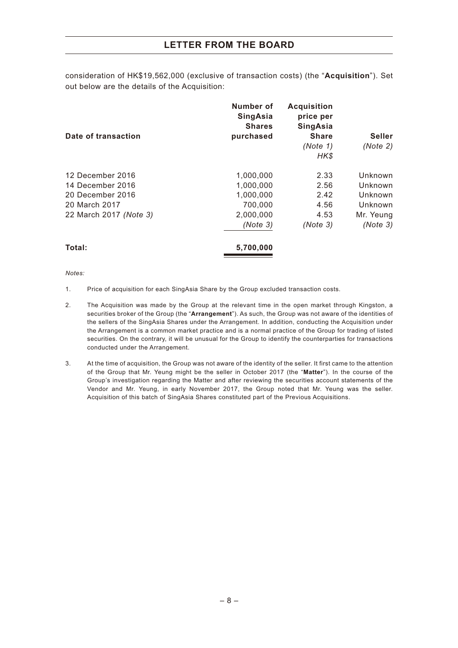consideration of HK\$19,562,000 (exclusive of transaction costs) (the "**Acquisition**"). Set out below are the details of the Acquisition:

|                        | Number of<br><b>SingAsia</b><br><b>Shares</b> | <b>Acquisition</b><br>price per<br><b>SingAsia</b> |               |
|------------------------|-----------------------------------------------|----------------------------------------------------|---------------|
| Date of transaction    | purchased                                     | <b>Share</b>                                       | <b>Seller</b> |
|                        |                                               | (Note 1)                                           | (Note 2)      |
|                        |                                               | HK\$                                               |               |
| 12 December 2016       | 1,000,000                                     | 2.33                                               | Unknown       |
| 14 December 2016       | 1,000,000                                     | 2.56                                               | Unknown       |
| 20 December 2016       | 1,000,000                                     | 2.42                                               | Unknown       |
| 20 March 2017          | 700,000                                       | 4.56                                               | Unknown       |
| 22 March 2017 (Note 3) | 2,000,000                                     | 4.53                                               | Mr. Yeung     |
|                        | (Note 3)                                      | (Note 3)                                           | (Note 3)      |
| Total:                 | 5,700,000                                     |                                                    |               |

*Notes:*

- 1. Price of acquisition for each SingAsia Share by the Group excluded transaction costs.
- 2. The Acquisition was made by the Group at the relevant time in the open market through Kingston, a securities broker of the Group (the "**Arrangement**"). As such, the Group was not aware of the identities of the sellers of the SingAsia Shares under the Arrangement. In addition, conducting the Acquisition under the Arrangement is a common market practice and is a normal practice of the Group for trading of listed securities. On the contrary, it will be unusual for the Group to identify the counterparties for transactions conducted under the Arrangement.
- 3. At the time of acquisition, the Group was not aware of the identity of the seller. It first came to the attention of the Group that Mr. Yeung might be the seller in October 2017 (the "**Matter**"). In the course of the Group's investigation regarding the Matter and after reviewing the securities account statements of the Vendor and Mr. Yeung, in early November 2017, the Group noted that Mr. Yeung was the seller. Acquisition of this batch of SingAsia Shares constituted part of the Previous Acquisitions.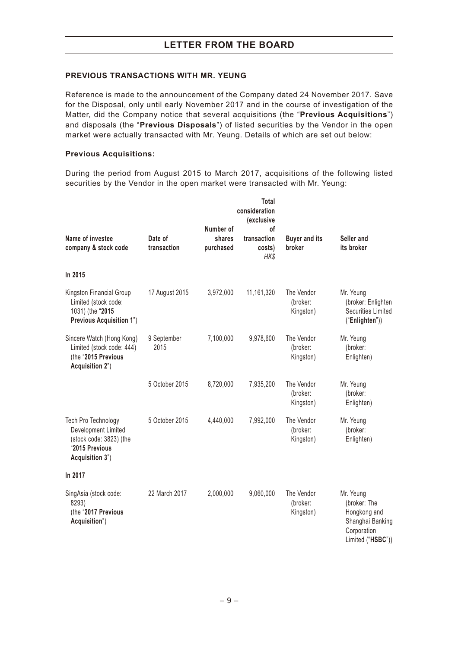#### **PREVIOUS TRANSACTIONS WITH MR. YEUNG**

Reference is made to the announcement of the Company dated 24 November 2017. Save for the Disposal, only until early November 2017 and in the course of investigation of the Matter, did the Company notice that several acquisitions (the "**Previous Acquisitions**") and disposals (the "**Previous Disposals**") of listed securities by the Vendor in the open market were actually transacted with Mr. Yeung. Details of which are set out below:

#### **Previous Acquisitions:**

During the period from August 2015 to March 2017, acquisitions of the following listed securities by the Vendor in the open market were transacted with Mr. Yeung:

| Name of investee<br>company & stock code                                                                   | Date of<br>transaction | Number of<br>shares<br>purchased | Total<br>consideration<br>(exclusive<br>оf<br>transaction<br>costs)<br>HK\$ | <b>Buyer and its</b><br>broker      | Seller and<br>its broker                                                                          |
|------------------------------------------------------------------------------------------------------------|------------------------|----------------------------------|-----------------------------------------------------------------------------|-------------------------------------|---------------------------------------------------------------------------------------------------|
| In 2015                                                                                                    |                        |                                  |                                                                             |                                     |                                                                                                   |
| Kingston Financial Group<br>Limited (stock code:<br>1031) (the "2015<br>Previous Acquisition 1")           | 17 August 2015         | 3,972,000                        | 11,161,320                                                                  | The Vendor<br>(broker:<br>Kingston) | Mr. Yeung<br>(broker: Enlighten<br><b>Securities Limited</b><br>("Enlighten"))                    |
| Sincere Watch (Hong Kong)<br>Limited (stock code: 444)<br>(the "2015 Previous<br>Acquisition 2")           | 9 September<br>2015    | 7,100,000                        | 9,978,600                                                                   | The Vendor<br>(broker:<br>Kingston) | Mr. Yeung<br>(broker:<br>Enlighten)                                                               |
|                                                                                                            | 5 October 2015         | 8,720,000                        | 7,935,200                                                                   | The Vendor<br>(broker:<br>Kingston) | Mr. Yeung<br>(broker:<br>Enlighten)                                                               |
| Tech Pro Technology<br>Development Limited<br>(stock code: 3823) (the<br>"2015 Previous<br>Acquisition 3") | 5 October 2015         | 4,440,000                        | 7,992,000                                                                   | The Vendor<br>(broker:<br>Kingston) | Mr. Yeung<br>(broker:<br>Enlighten)                                                               |
| In 2017                                                                                                    |                        |                                  |                                                                             |                                     |                                                                                                   |
| SingAsia (stock code:<br>8293)<br>(the "2017 Previous<br>Acquisition")                                     | 22 March 2017          | 2,000,000                        | 9,060,000                                                                   | The Vendor<br>(broker:<br>Kingston) | Mr. Yeung<br>(broker: The<br>Hongkong and<br>Shanghai Banking<br>Corporation<br>Limited ("HSBC")) |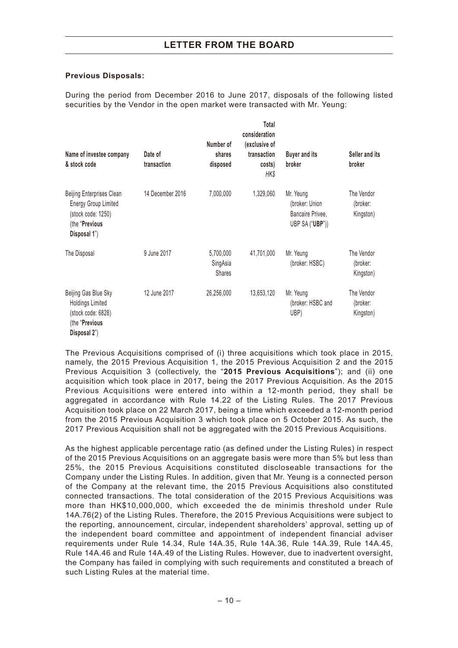### **Previous Disposals:**

During the period from December 2016 to June 2017, disposals of the following listed securities by the Vendor in the open market were transacted with Mr. Yeung:

| Name of investee company<br>& stock code                                                                         | Date of<br>transaction | Number of<br>shares<br>disposed        | Total<br>consideration<br>(exclusive of<br>transaction<br>costs)<br>HK\$ | <b>Buyer and its</b><br>broker                                     | Seller and its<br>broker            |
|------------------------------------------------------------------------------------------------------------------|------------------------|----------------------------------------|--------------------------------------------------------------------------|--------------------------------------------------------------------|-------------------------------------|
| Beijing Enterprises Clean<br><b>Energy Group Limited</b><br>(stock code: 1250)<br>(the "Previous<br>Disposal 1") | 14 December 2016       | 7,000,000                              | 1,329,060                                                                | Mr. Yeung<br>(broker: Union<br>Bancaire Privee,<br>UBP SA ("UBP")) | The Vendor<br>(broker:<br>Kingston) |
| The Disposal                                                                                                     | 9 June 2017            | 5,700,000<br>SingAsia<br><b>Shares</b> | 41,701,000                                                               | Mr. Yeung<br>(broker: HSBC)                                        | The Vendor<br>(broker:<br>Kingston) |
| Beijing Gas Blue Sky<br><b>Holdings Limited</b><br>(stock code: 6828)<br>(the "Previous"<br>Disposal 2")         | 12 June 2017           | 26,256,000                             | 13,653,120                                                               | Mr. Yeung<br>(broker: HSBC and<br>UBP)                             | The Vendor<br>(broker:<br>Kingston) |

The Previous Acquisitions comprised of (i) three acquisitions which took place in 2015, namely, the 2015 Previous Acquisition 1, the 2015 Previous Acquisition 2 and the 2015 Previous Acquisition 3 (collectively, the "**2015 Previous Acquisitions**"); and (ii) one acquisition which took place in 2017, being the 2017 Previous Acquisition. As the 2015 Previous Acquisitions were entered into within a 12-month period, they shall be aggregated in accordance with Rule 14.22 of the Listing Rules. The 2017 Previous Acquisition took place on 22 March 2017, being a time which exceeded a 12-month period from the 2015 Previous Acquisition 3 which took place on 5 October 2015. As such, the 2017 Previous Acquisition shall not be aggregated with the 2015 Previous Acquisitions.

As the highest applicable percentage ratio (as defined under the Listing Rules) in respect of the 2015 Previous Acquisitions on an aggregate basis were more than 5% but less than 25%, the 2015 Previous Acquisitions constituted discloseable transactions for the Company under the Listing Rules. In addition, given that Mr. Yeung is a connected person of the Company at the relevant time, the 2015 Previous Acquisitions also constituted connected transactions. The total consideration of the 2015 Previous Acquisitions was more than HK\$10,000,000, which exceeded the de minimis threshold under Rule 14A.76(2) of the Listing Rules. Therefore, the 2015 Previous Acquisitions were subject to the reporting, announcement, circular, independent shareholders' approval, setting up of the independent board committee and appointment of independent financial adviser requirements under Rule 14.34, Rule 14A.35, Rule 14A.36, Rule 14A.39, Rule 14A.45, Rule 14A.46 and Rule 14A.49 of the Listing Rules. However, due to inadvertent oversight, the Company has failed in complying with such requirements and constituted a breach of such Listing Rules at the material time.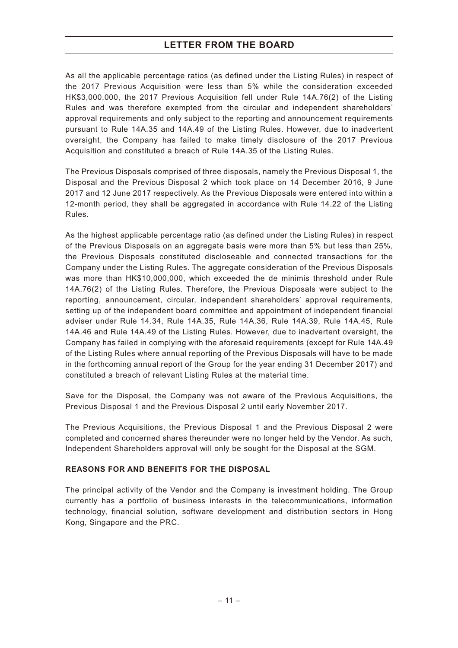As all the applicable percentage ratios (as defined under the Listing Rules) in respect of the 2017 Previous Acquisition were less than 5% while the consideration exceeded HK\$3,000,000, the 2017 Previous Acquisition fell under Rule 14A.76(2) of the Listing Rules and was therefore exempted from the circular and independent shareholders' approval requirements and only subject to the reporting and announcement requirements pursuant to Rule 14A.35 and 14A.49 of the Listing Rules. However, due to inadvertent oversight, the Company has failed to make timely disclosure of the 2017 Previous Acquisition and constituted a breach of Rule 14A.35 of the Listing Rules.

The Previous Disposals comprised of three disposals, namely the Previous Disposal 1, the Disposal and the Previous Disposal 2 which took place on 14 December 2016, 9 June 2017 and 12 June 2017 respectively. As the Previous Disposals were entered into within a 12-month period, they shall be aggregated in accordance with Rule 14.22 of the Listing Rules.

As the highest applicable percentage ratio (as defined under the Listing Rules) in respect of the Previous Disposals on an aggregate basis were more than 5% but less than 25%, the Previous Disposals constituted discloseable and connected transactions for the Company under the Listing Rules. The aggregate consideration of the Previous Disposals was more than HK\$10,000,000, which exceeded the de minimis threshold under Rule 14A.76(2) of the Listing Rules. Therefore, the Previous Disposals were subject to the reporting, announcement, circular, independent shareholders' approval requirements, setting up of the independent board committee and appointment of independent financial adviser under Rule 14.34, Rule 14A.35, Rule 14A.36, Rule 14A.39, Rule 14A.45, Rule 14A.46 and Rule 14A.49 of the Listing Rules. However, due to inadvertent oversight, the Company has failed in complying with the aforesaid requirements (except for Rule 14A.49 of the Listing Rules where annual reporting of the Previous Disposals will have to be made in the forthcoming annual report of the Group for the year ending 31 December 2017) and constituted a breach of relevant Listing Rules at the material time.

Save for the Disposal, the Company was not aware of the Previous Acquisitions, the Previous Disposal 1 and the Previous Disposal 2 until early November 2017.

The Previous Acquisitions, the Previous Disposal 1 and the Previous Disposal 2 were completed and concerned shares thereunder were no longer held by the Vendor. As such, Independent Shareholders approval will only be sought for the Disposal at the SGM.

#### **REASONS FOR AND BENEFITS FOR THE DISPOSAL**

The principal activity of the Vendor and the Company is investment holding. The Group currently has a portfolio of business interests in the telecommunications, information technology, financial solution, software development and distribution sectors in Hong Kong, Singapore and the PRC.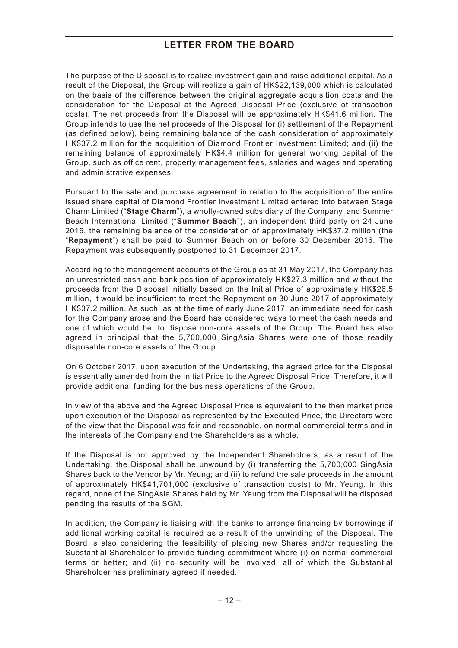The purpose of the Disposal is to realize investment gain and raise additional capital. As a result of the Disposal, the Group will realize a gain of HK\$22,139,000 which is calculated on the basis of the difference between the original aggregate acquisition costs and the consideration for the Disposal at the Agreed Disposal Price (exclusive of transaction costs). The net proceeds from the Disposal will be approximately HK\$41.6 million. The Group intends to use the net proceeds of the Disposal for (i) settlement of the Repayment (as defined below), being remaining balance of the cash consideration of approximately HK\$37.2 million for the acquisition of Diamond Frontier Investment Limited; and (ii) the remaining balance of approximately HK\$4.4 million for general working capital of the Group, such as office rent, property management fees, salaries and wages and operating and administrative expenses.

Pursuant to the sale and purchase agreement in relation to the acquisition of the entire issued share capital of Diamond Frontier Investment Limited entered into between Stage Charm Limited ("**Stage Charm**"), a wholly-owned subsidiary of the Company, and Summer Beach International Limited ("**Summer Beach**"), an independent third party on 24 June 2016, the remaining balance of the consideration of approximately HK\$37.2 million (the "**Repayment**") shall be paid to Summer Beach on or before 30 December 2016. The Repayment was subsequently postponed to 31 December 2017.

According to the management accounts of the Group as at 31 May 2017, the Company has an unrestricted cash and bank position of approximately HK\$27.3 million and without the proceeds from the Disposal initially based on the Initial Price of approximately HK\$26.5 million, it would be insufficient to meet the Repayment on 30 June 2017 of approximately HK\$37.2 million. As such, as at the time of early June 2017, an immediate need for cash for the Company arose and the Board has considered ways to meet the cash needs and one of which would be, to dispose non-core assets of the Group. The Board has also agreed in principal that the 5,700,000 SingAsia Shares were one of those readily disposable non-core assets of the Group.

On 6 October 2017, upon execution of the Undertaking, the agreed price for the Disposal is essentially amended from the Initial Price to the Agreed Disposal Price. Therefore, it will provide additional funding for the business operations of the Group.

In view of the above and the Agreed Disposal Price is equivalent to the then market price upon execution of the Disposal as represented by the Executed Price, the Directors were of the view that the Disposal was fair and reasonable, on normal commercial terms and in the interests of the Company and the Shareholders as a whole.

If the Disposal is not approved by the Independent Shareholders, as a result of the Undertaking, the Disposal shall be unwound by (i) transferring the 5,700,000 SingAsia Shares back to the Vendor by Mr. Yeung; and (ii) to refund the sale proceeds in the amount of approximately HK\$41,701,000 (exclusive of transaction costs) to Mr. Yeung. In this regard, none of the SingAsia Shares held by Mr. Yeung from the Disposal will be disposed pending the results of the SGM.

In addition, the Company is liaising with the banks to arrange financing by borrowings if additional working capital is required as a result of the unwinding of the Disposal. The Board is also considering the feasibility of placing new Shares and/or requesting the Substantial Shareholder to provide funding commitment where (i) on normal commercial terms or better; and (ii) no security will be involved, all of which the Substantial Shareholder has preliminary agreed if needed.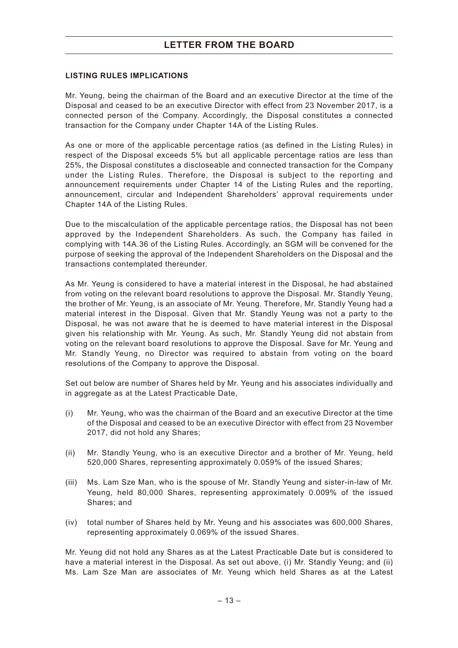#### **LISTING RULES IMPLICATIONS**

Mr. Yeung, being the chairman of the Board and an executive Director at the time of the Disposal and ceased to be an executive Director with effect from 23 November 2017, is a connected person of the Company. Accordingly, the Disposal constitutes a connected transaction for the Company under Chapter 14A of the Listing Rules.

As one or more of the applicable percentage ratios (as defined in the Listing Rules) in respect of the Disposal exceeds 5% but all applicable percentage ratios are less than 25%, the Disposal constitutes a discloseable and connected transaction for the Company under the Listing Rules. Therefore, the Disposal is subject to the reporting and announcement requirements under Chapter 14 of the Listing Rules and the reporting, announcement, circular and Independent Shareholders' approval requirements under Chapter 14A of the Listing Rules.

Due to the miscalculation of the applicable percentage ratios, the Disposal has not been approved by the Independent Shareholders. As such, the Company has failed in complying with 14A.36 of the Listing Rules. Accordingly, an SGM will be convened for the purpose of seeking the approval of the Independent Shareholders on the Disposal and the transactions contemplated thereunder.

As Mr. Yeung is considered to have a material interest in the Disposal, he had abstained from voting on the relevant board resolutions to approve the Disposal. Mr. Standly Yeung, the brother of Mr. Yeung, is an associate of Mr. Yeung. Therefore, Mr. Standly Yeung had a material interest in the Disposal. Given that Mr. Standly Yeung was not a party to the Disposal, he was not aware that he is deemed to have material interest in the Disposal given his relationship with Mr. Yeung. As such, Mr. Standly Yeung did not abstain from voting on the relevant board resolutions to approve the Disposal. Save for Mr. Yeung and Mr. Standly Yeung, no Director was required to abstain from voting on the board resolutions of the Company to approve the Disposal.

Set out below are number of Shares held by Mr. Yeung and his associates individually and in aggregate as at the Latest Practicable Date,

- (i) Mr. Yeung, who was the chairman of the Board and an executive Director at the time of the Disposal and ceased to be an executive Director with effect from 23 November 2017, did not hold any Shares;
- (ii) Mr. Standly Yeung, who is an executive Director and a brother of Mr. Yeung, held 520,000 Shares, representing approximately 0.059% of the issued Shares;
- (iii) Ms. Lam Sze Man, who is the spouse of Mr. Standly Yeung and sister-in-law of Mr. Yeung, held 80,000 Shares, representing approximately 0.009% of the issued Shares; and
- (iv) total number of Shares held by Mr. Yeung and his associates was 600,000 Shares, representing approximately 0.069% of the issued Shares.

Mr. Yeung did not hold any Shares as at the Latest Practicable Date but is considered to have a material interest in the Disposal. As set out above, (i) Mr. Standly Yeung; and (ii) Ms. Lam Sze Man are associates of Mr. Yeung which held Shares as at the Latest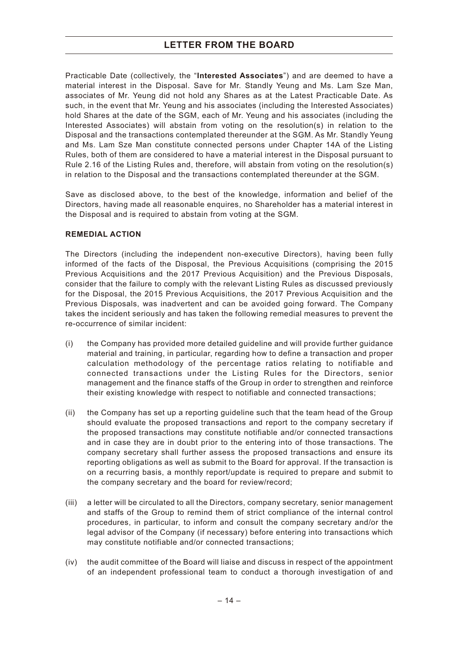Practicable Date (collectively, the "**Interested Associates**") and are deemed to have a material interest in the Disposal. Save for Mr. Standly Yeung and Ms. Lam Sze Man, associates of Mr. Yeung did not hold any Shares as at the Latest Practicable Date. As such, in the event that Mr. Yeung and his associates (including the Interested Associates) hold Shares at the date of the SGM, each of Mr. Yeung and his associates (including the Interested Associates) will abstain from voting on the resolution(s) in relation to the Disposal and the transactions contemplated thereunder at the SGM. As Mr. Standly Yeung and Ms. Lam Sze Man constitute connected persons under Chapter 14A of the Listing Rules, both of them are considered to have a material interest in the Disposal pursuant to Rule 2.16 of the Listing Rules and, therefore, will abstain from voting on the resolution(s) in relation to the Disposal and the transactions contemplated thereunder at the SGM.

Save as disclosed above, to the best of the knowledge, information and belief of the Directors, having made all reasonable enquires, no Shareholder has a material interest in the Disposal and is required to abstain from voting at the SGM.

#### **REMEDIAL ACTION**

The Directors (including the independent non-executive Directors), having been fully informed of the facts of the Disposal, the Previous Acquisitions (comprising the 2015 Previous Acquisitions and the 2017 Previous Acquisition) and the Previous Disposals, consider that the failure to comply with the relevant Listing Rules as discussed previously for the Disposal, the 2015 Previous Acquisitions, the 2017 Previous Acquisition and the Previous Disposals, was inadvertent and can be avoided going forward. The Company takes the incident seriously and has taken the following remedial measures to prevent the re-occurrence of similar incident:

- (i) the Company has provided more detailed guideline and will provide further guidance material and training, in particular, regarding how to define a transaction and proper calculation methodology of the percentage ratios relating to notifiable and connected transactions under the Listing Rules for the Directors, senior management and the finance staffs of the Group in order to strengthen and reinforce their existing knowledge with respect to notifiable and connected transactions;
- (ii) the Company has set up a reporting guideline such that the team head of the Group should evaluate the proposed transactions and report to the company secretary if the proposed transactions may constitute notifiable and/or connected transactions and in case they are in doubt prior to the entering into of those transactions. The company secretary shall further assess the proposed transactions and ensure its reporting obligations as well as submit to the Board for approval. If the transaction is on a recurring basis, a monthly report/update is required to prepare and submit to the company secretary and the board for review/record;
- (iii) a letter will be circulated to all the Directors, company secretary, senior management and staffs of the Group to remind them of strict compliance of the internal control procedures, in particular, to inform and consult the company secretary and/or the legal advisor of the Company (if necessary) before entering into transactions which may constitute notifiable and/or connected transactions;
- (iv) the audit committee of the Board will liaise and discuss in respect of the appointment of an independent professional team to conduct a thorough investigation of and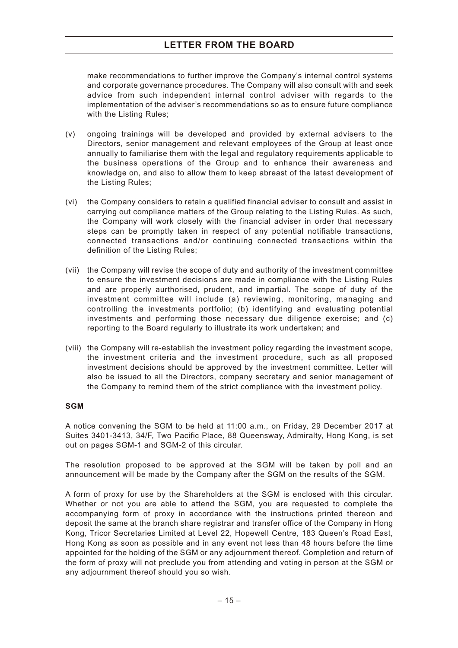make recommendations to further improve the Company's internal control systems and corporate governance procedures. The Company will also consult with and seek advice from such independent internal control adviser with regards to the implementation of the adviser's recommendations so as to ensure future compliance with the Listing Rules;

- (v) ongoing trainings will be developed and provided by external advisers to the Directors, senior management and relevant employees of the Group at least once annually to familiarise them with the legal and regulatory requirements applicable to the business operations of the Group and to enhance their awareness and knowledge on, and also to allow them to keep abreast of the latest development of the Listing Rules;
- (vi) the Company considers to retain a qualified financial adviser to consult and assist in carrying out compliance matters of the Group relating to the Listing Rules. As such, the Company will work closely with the financial adviser in order that necessary steps can be promptly taken in respect of any potential notifiable transactions, connected transactions and/or continuing connected transactions within the definition of the Listing Rules;
- (vii) the Company will revise the scope of duty and authority of the investment committee to ensure the investment decisions are made in compliance with the Listing Rules and are properly aurthorised, prudent, and impartial. The scope of duty of the investment committee will include (a) reviewing, monitoring, managing and controlling the investments portfolio; (b) identifying and evaluating potential investments and performing those necessary due diligence exercise; and (c) reporting to the Board regularly to illustrate its work undertaken; and
- (viii) the Company will re-establish the investment policy regarding the investment scope, the investment criteria and the investment procedure, such as all proposed investment decisions should be approved by the investment committee. Letter will also be issued to all the Directors, company secretary and senior management of the Company to remind them of the strict compliance with the investment policy.

#### **SGM**

A notice convening the SGM to be held at 11:00 a.m., on Friday, 29 December 2017 at Suites 3401-3413, 34/F, Two Pacific Place, 88 Queensway, Admiralty, Hong Kong, is set out on pages SGM-1 and SGM-2 of this circular.

The resolution proposed to be approved at the SGM will be taken by poll and an announcement will be made by the Company after the SGM on the results of the SGM.

A form of proxy for use by the Shareholders at the SGM is enclosed with this circular. Whether or not you are able to attend the SGM, you are requested to complete the accompanying form of proxy in accordance with the instructions printed thereon and deposit the same at the branch share registrar and transfer office of the Company in Hong Kong, Tricor Secretaries Limited at Level 22, Hopewell Centre, 183 Queen's Road East, Hong Kong as soon as possible and in any event not less than 48 hours before the time appointed for the holding of the SGM or any adjournment thereof. Completion and return of the form of proxy will not preclude you from attending and voting in person at the SGM or any adjournment thereof should you so wish.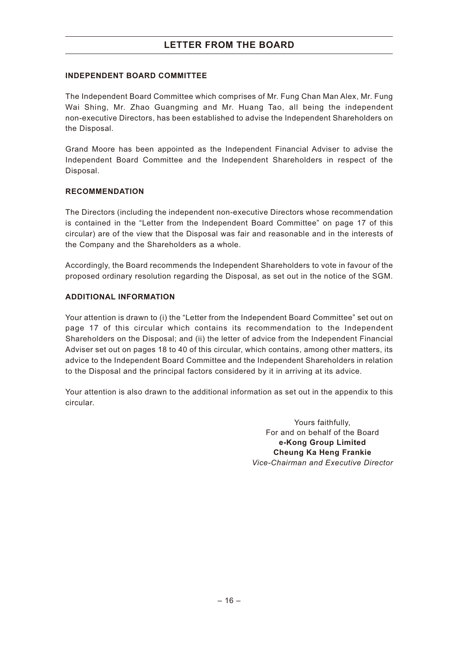#### **INDEPENDENT BOARD COMMITTEE**

The Independent Board Committee which comprises of Mr. Fung Chan Man Alex, Mr. Fung Wai Shing, Mr. Zhao Guangming and Mr. Huang Tao, all being the independent non-executive Directors, has been established to advise the Independent Shareholders on the Disposal.

Grand Moore has been appointed as the Independent Financial Adviser to advise the Independent Board Committee and the Independent Shareholders in respect of the Disposal.

#### **RECOMMENDATION**

The Directors (including the independent non-executive Directors whose recommendation is contained in the "Letter from the Independent Board Committee" on page 17 of this circular) are of the view that the Disposal was fair and reasonable and in the interests of the Company and the Shareholders as a whole.

Accordingly, the Board recommends the Independent Shareholders to vote in favour of the proposed ordinary resolution regarding the Disposal, as set out in the notice of the SGM.

#### **ADDITIONAL INFORMATION**

Your attention is drawn to (i) the "Letter from the Independent Board Committee" set out on page 17 of this circular which contains its recommendation to the Independent Shareholders on the Disposal; and (ii) the letter of advice from the Independent Financial Adviser set out on pages 18 to 40 of this circular, which contains, among other matters, its advice to the Independent Board Committee and the Independent Shareholders in relation to the Disposal and the principal factors considered by it in arriving at its advice.

Your attention is also drawn to the additional information as set out in the appendix to this circular.

> Yours faithfully, For and on behalf of the Board **e-Kong Group Limited Cheung Ka Heng Frankie** *Vice-Chairman and Executive Director*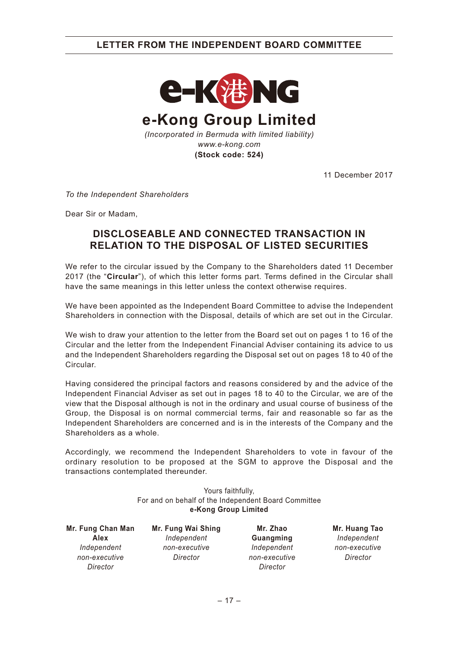

11 December 2017

*To the Independent Shareholders*

Dear Sir or Madam,

# **DISCLOSEABLE AND CONNECTED TRANSACTION IN RELATION TO THE DISPOSAL OF LISTED SECURITIES**

We refer to the circular issued by the Company to the Shareholders dated 11 December 2017 (the "**Circular**"), of which this letter forms part. Terms defined in the Circular shall have the same meanings in this letter unless the context otherwise requires.

We have been appointed as the Independent Board Committee to advise the Independent Shareholders in connection with the Disposal, details of which are set out in the Circular.

We wish to draw your attention to the letter from the Board set out on pages 1 to 16 of the Circular and the letter from the Independent Financial Adviser containing its advice to us and the Independent Shareholders regarding the Disposal set out on pages 18 to 40 of the Circular.

Having considered the principal factors and reasons considered by and the advice of the Independent Financial Adviser as set out in pages 18 to 40 to the Circular, we are of the view that the Disposal although is not in the ordinary and usual course of business of the Group, the Disposal is on normal commercial terms, fair and reasonable so far as the Independent Shareholders are concerned and is in the interests of the Company and the Shareholders as a whole.

Accordingly, we recommend the Independent Shareholders to vote in favour of the ordinary resolution to be proposed at the SGM to approve the Disposal and the transactions contemplated thereunder.

> Yours faithfully, For and on behalf of the Independent Board Committee **e-Kong Group Limited**

**Mr. Fung Chan Man Alex** *Independent non-executive Director*

**Mr. Fung Wai Shing** *Independent non-executive Director*

**Mr. Zhao Guangming** *Independent non-executive Director*

**Mr. Huang Tao** *Independent non-executive Director*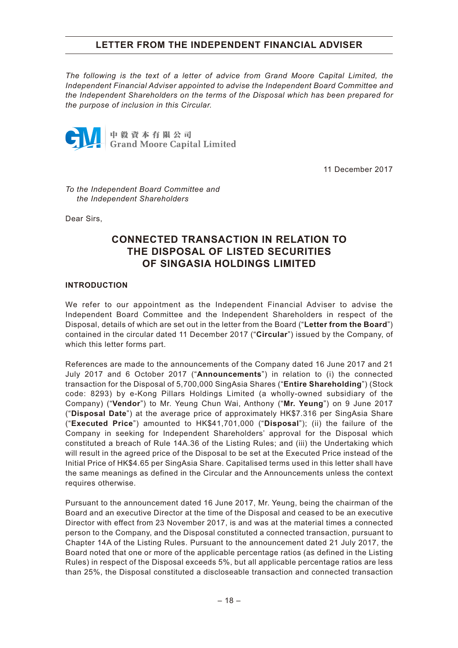*The following is the text of a letter of advice from Grand Moore Capital Limited, the Independent Financial Adviser appointed to advise the Independent Board Committee and the Independent Shareholders on the terms of the Disposal which has been prepared for the purpose of inclusion in this Circular.*



11 December 2017

*To the Independent Board Committee and the Independent Shareholders*

Dear Sirs,

# **CONNECTED TRANSACTION IN RELATION TO THE DISPOSAL OF LISTED SECURITIES OF SINGASIA HOLDINGS LIMITED**

#### **INTRODUCTION**

We refer to our appointment as the Independent Financial Adviser to advise the Independent Board Committee and the Independent Shareholders in respect of the Disposal, details of which are set out in the letter from the Board ("**Letter from the Board**") contained in the circular dated 11 December 2017 ("**Circular**") issued by the Company, of which this letter forms part.

References are made to the announcements of the Company dated 16 June 2017 and 21 July 2017 and 6 October 2017 ("**Announcements**") in relation to (i) the connected transaction for the Disposal of 5,700,000 SingAsia Shares ("**Entire Shareholding**") (Stock code: 8293) by e-Kong Pillars Holdings Limited (a wholly-owned subsidiary of the Company) ("**Vendor**") to Mr. Yeung Chun Wai, Anthony ("**Mr. Yeung**") on 9 June 2017 ("**Disposal Date**") at the average price of approximately HK\$7.316 per SingAsia Share ("**Executed Price**") amounted to HK\$41,701,000 ("**Disposal**"); (ii) the failure of the Company in seeking for Independent Shareholders' approval for the Disposal which constituted a breach of Rule 14A.36 of the Listing Rules; and (iii) the Undertaking which will result in the agreed price of the Disposal to be set at the Executed Price instead of the Initial Price of HK\$4.65 per SingAsia Share. Capitalised terms used in this letter shall have the same meanings as defined in the Circular and the Announcements unless the context requires otherwise.

Pursuant to the announcement dated 16 June 2017, Mr. Yeung, being the chairman of the Board and an executive Director at the time of the Disposal and ceased to be an executive Director with effect from 23 November 2017, is and was at the material times a connected person to the Company, and the Disposal constituted a connected transaction, pursuant to Chapter 14A of the Listing Rules. Pursuant to the announcement dated 21 July 2017, the Board noted that one or more of the applicable percentage ratios (as defined in the Listing Rules) in respect of the Disposal exceeds 5%, but all applicable percentage ratios are less than 25%, the Disposal constituted a discloseable transaction and connected transaction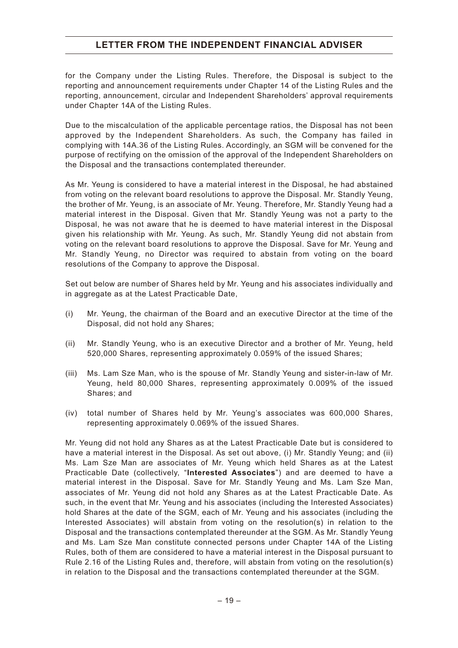for the Company under the Listing Rules. Therefore, the Disposal is subject to the reporting and announcement requirements under Chapter 14 of the Listing Rules and the reporting, announcement, circular and Independent Shareholders' approval requirements under Chapter 14A of the Listing Rules.

Due to the miscalculation of the applicable percentage ratios, the Disposal has not been approved by the Independent Shareholders. As such, the Company has failed in complying with 14A.36 of the Listing Rules. Accordingly, an SGM will be convened for the purpose of rectifying on the omission of the approval of the Independent Shareholders on the Disposal and the transactions contemplated thereunder.

As Mr. Yeung is considered to have a material interest in the Disposal, he had abstained from voting on the relevant board resolutions to approve the Disposal. Mr. Standly Yeung, the brother of Mr. Yeung, is an associate of Mr. Yeung. Therefore, Mr. Standly Yeung had a material interest in the Disposal. Given that Mr. Standly Yeung was not a party to the Disposal, he was not aware that he is deemed to have material interest in the Disposal given his relationship with Mr. Yeung. As such, Mr. Standly Yeung did not abstain from voting on the relevant board resolutions to approve the Disposal. Save for Mr. Yeung and Mr. Standly Yeung, no Director was required to abstain from voting on the board resolutions of the Company to approve the Disposal.

Set out below are number of Shares held by Mr. Yeung and his associates individually and in aggregate as at the Latest Practicable Date,

- (i) Mr. Yeung, the chairman of the Board and an executive Director at the time of the Disposal, did not hold any Shares;
- (ii) Mr. Standly Yeung, who is an executive Director and a brother of Mr. Yeung, held 520,000 Shares, representing approximately 0.059% of the issued Shares;
- (iii) Ms. Lam Sze Man, who is the spouse of Mr. Standly Yeung and sister-in-law of Mr. Yeung, held 80,000 Shares, representing approximately 0.009% of the issued Shares; and
- (iv) total number of Shares held by Mr. Yeung's associates was 600,000 Shares, representing approximately 0.069% of the issued Shares.

Mr. Yeung did not hold any Shares as at the Latest Practicable Date but is considered to have a material interest in the Disposal. As set out above, (i) Mr. Standly Yeung; and (ii) Ms. Lam Sze Man are associates of Mr. Yeung which held Shares as at the Latest Practicable Date (collectively, "**Interested Associates**") and are deemed to have a material interest in the Disposal. Save for Mr. Standly Yeung and Ms. Lam Sze Man, associates of Mr. Yeung did not hold any Shares as at the Latest Practicable Date. As such, in the event that Mr. Yeung and his associates (including the Interested Associates) hold Shares at the date of the SGM, each of Mr. Yeung and his associates (including the Interested Associates) will abstain from voting on the resolution(s) in relation to the Disposal and the transactions contemplated thereunder at the SGM. As Mr. Standly Yeung and Ms. Lam Sze Man constitute connected persons under Chapter 14A of the Listing Rules, both of them are considered to have a material interest in the Disposal pursuant to Rule 2.16 of the Listing Rules and, therefore, will abstain from voting on the resolution(s) in relation to the Disposal and the transactions contemplated thereunder at the SGM.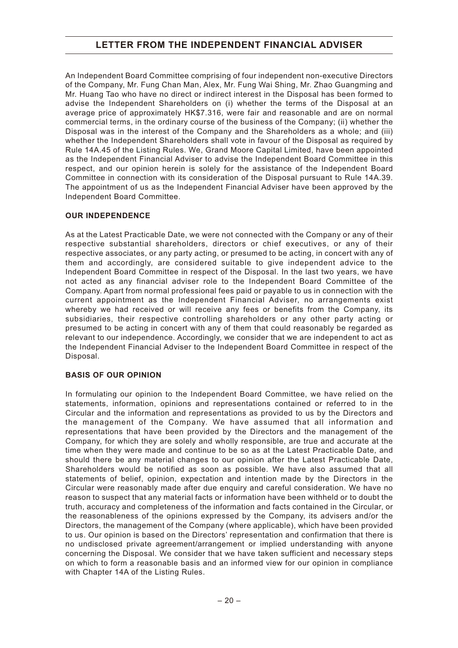An Independent Board Committee comprising of four independent non-executive Directors of the Company, Mr. Fung Chan Man, Alex, Mr. Fung Wai Shing, Mr. Zhao Guangming and Mr. Huang Tao who have no direct or indirect interest in the Disposal has been formed to advise the Independent Shareholders on (i) whether the terms of the Disposal at an average price of approximately HK\$7.316, were fair and reasonable and are on normal commercial terms, in the ordinary course of the business of the Company; (ii) whether the Disposal was in the interest of the Company and the Shareholders as a whole; and (iii) whether the Independent Shareholders shall vote in favour of the Disposal as required by Rule 14A.45 of the Listing Rules. We, Grand Moore Capital Limited, have been appointed as the Independent Financial Adviser to advise the Independent Board Committee in this respect, and our opinion herein is solely for the assistance of the Independent Board Committee in connection with its consideration of the Disposal pursuant to Rule 14A.39. The appointment of us as the Independent Financial Adviser have been approved by the Independent Board Committee.

### **OUR INDEPENDENCE**

As at the Latest Practicable Date, we were not connected with the Company or any of their respective substantial shareholders, directors or chief executives, or any of their respective associates, or any party acting, or presumed to be acting, in concert with any of them and accordingly, are considered suitable to give independent advice to the Independent Board Committee in respect of the Disposal. In the last two years, we have not acted as any financial adviser role to the Independent Board Committee of the Company. Apart from normal professional fees paid or payable to us in connection with the current appointment as the Independent Financial Adviser, no arrangements exist whereby we had received or will receive any fees or benefits from the Company, its subsidiaries, their respective controlling shareholders or any other party acting or presumed to be acting in concert with any of them that could reasonably be regarded as relevant to our independence. Accordingly, we consider that we are independent to act as the Independent Financial Adviser to the Independent Board Committee in respect of the Disposal.

### **BASIS OF OUR OPINION**

In formulating our opinion to the Independent Board Committee, we have relied on the statements, information, opinions and representations contained or referred to in the Circular and the information and representations as provided to us by the Directors and the management of the Company. We have assumed that all information and representations that have been provided by the Directors and the management of the Company, for which they are solely and wholly responsible, are true and accurate at the time when they were made and continue to be so as at the Latest Practicable Date, and should there be any material changes to our opinion after the Latest Practicable Date, Shareholders would be notified as soon as possible. We have also assumed that all statements of belief, opinion, expectation and intention made by the Directors in the Circular were reasonably made after due enquiry and careful consideration. We have no reason to suspect that any material facts or information have been withheld or to doubt the truth, accuracy and completeness of the information and facts contained in the Circular, or the reasonableness of the opinions expressed by the Company, its advisers and/or the Directors, the management of the Company (where applicable), which have been provided to us. Our opinion is based on the Directors' representation and confirmation that there is no undisclosed private agreement/arrangement or implied understanding with anyone concerning the Disposal. We consider that we have taken sufficient and necessary steps on which to form a reasonable basis and an informed view for our opinion in compliance with Chapter 14A of the Listing Rules.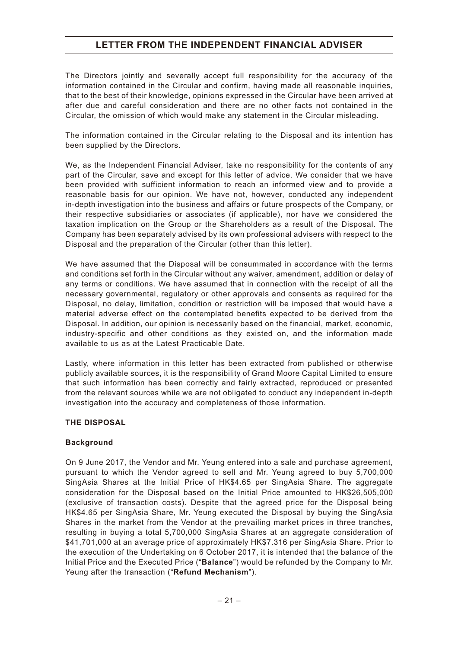The Directors jointly and severally accept full responsibility for the accuracy of the information contained in the Circular and confirm, having made all reasonable inquiries, that to the best of their knowledge, opinions expressed in the Circular have been arrived at after due and careful consideration and there are no other facts not contained in the Circular, the omission of which would make any statement in the Circular misleading.

The information contained in the Circular relating to the Disposal and its intention has been supplied by the Directors.

We, as the Independent Financial Adviser, take no responsibility for the contents of any part of the Circular, save and except for this letter of advice. We consider that we have been provided with sufficient information to reach an informed view and to provide a reasonable basis for our opinion. We have not, however, conducted any independent in-depth investigation into the business and affairs or future prospects of the Company, or their respective subsidiaries or associates (if applicable), nor have we considered the taxation implication on the Group or the Shareholders as a result of the Disposal. The Company has been separately advised by its own professional advisers with respect to the Disposal and the preparation of the Circular (other than this letter).

We have assumed that the Disposal will be consummated in accordance with the terms and conditions set forth in the Circular without any waiver, amendment, addition or delay of any terms or conditions. We have assumed that in connection with the receipt of all the necessary governmental, regulatory or other approvals and consents as required for the Disposal, no delay, limitation, condition or restriction will be imposed that would have a material adverse effect on the contemplated benefits expected to be derived from the Disposal. In addition, our opinion is necessarily based on the financial, market, economic, industry-specific and other conditions as they existed on, and the information made available to us as at the Latest Practicable Date.

Lastly, where information in this letter has been extracted from published or otherwise publicly available sources, it is the responsibility of Grand Moore Capital Limited to ensure that such information has been correctly and fairly extracted, reproduced or presented from the relevant sources while we are not obligated to conduct any independent in-depth investigation into the accuracy and completeness of those information.

#### **THE DISPOSAL**

#### **Background**

On 9 June 2017, the Vendor and Mr. Yeung entered into a sale and purchase agreement, pursuant to which the Vendor agreed to sell and Mr. Yeung agreed to buy 5,700,000 SingAsia Shares at the Initial Price of HK\$4.65 per SingAsia Share. The aggregate consideration for the Disposal based on the Initial Price amounted to HK\$26,505,000 (exclusive of transaction costs). Despite that the agreed price for the Disposal being HK\$4.65 per SingAsia Share, Mr. Yeung executed the Disposal by buying the SingAsia Shares in the market from the Vendor at the prevailing market prices in three tranches, resulting in buying a total 5,700,000 SingAsia Shares at an aggregate consideration of \$41,701,000 at an average price of approximately HK\$7.316 per SingAsia Share. Prior to the execution of the Undertaking on 6 October 2017, it is intended that the balance of the Initial Price and the Executed Price ("**Balance**") would be refunded by the Company to Mr. Yeung after the transaction ("**Refund Mechanism**").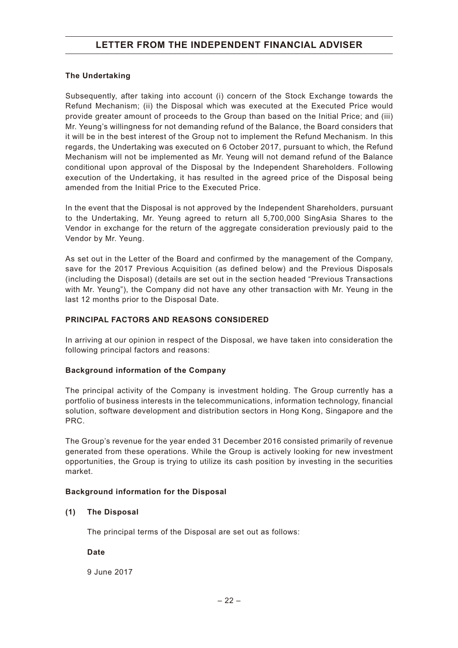#### **The Undertaking**

Subsequently, after taking into account (i) concern of the Stock Exchange towards the Refund Mechanism; (ii) the Disposal which was executed at the Executed Price would provide greater amount of proceeds to the Group than based on the Initial Price; and (iii) Mr. Yeung's willingness for not demanding refund of the Balance, the Board considers that it will be in the best interest of the Group not to implement the Refund Mechanism. In this regards, the Undertaking was executed on 6 October 2017, pursuant to which, the Refund Mechanism will not be implemented as Mr. Yeung will not demand refund of the Balance conditional upon approval of the Disposal by the Independent Shareholders. Following execution of the Undertaking, it has resulted in the agreed price of the Disposal being amended from the Initial Price to the Executed Price.

In the event that the Disposal is not approved by the Independent Shareholders, pursuant to the Undertaking, Mr. Yeung agreed to return all 5,700,000 SingAsia Shares to the Vendor in exchange for the return of the aggregate consideration previously paid to the Vendor by Mr. Yeung.

As set out in the Letter of the Board and confirmed by the management of the Company, save for the 2017 Previous Acquisition (as defined below) and the Previous Disposals (including the Disposal) (details are set out in the section headed "Previous Transactions with Mr. Yeung"), the Company did not have any other transaction with Mr. Yeung in the last 12 months prior to the Disposal Date.

#### **PRINCIPAL FACTORS AND REASONS CONSIDERED**

In arriving at our opinion in respect of the Disposal, we have taken into consideration the following principal factors and reasons:

#### **Background information of the Company**

The principal activity of the Company is investment holding. The Group currently has a portfolio of business interests in the telecommunications, information technology, financial solution, software development and distribution sectors in Hong Kong, Singapore and the PRC.

The Group's revenue for the year ended 31 December 2016 consisted primarily of revenue generated from these operations. While the Group is actively looking for new investment opportunities, the Group is trying to utilize its cash position by investing in the securities market.

#### **Background information for the Disposal**

#### **(1) The Disposal**

The principal terms of the Disposal are set out as follows:

**Date**

9 June 2017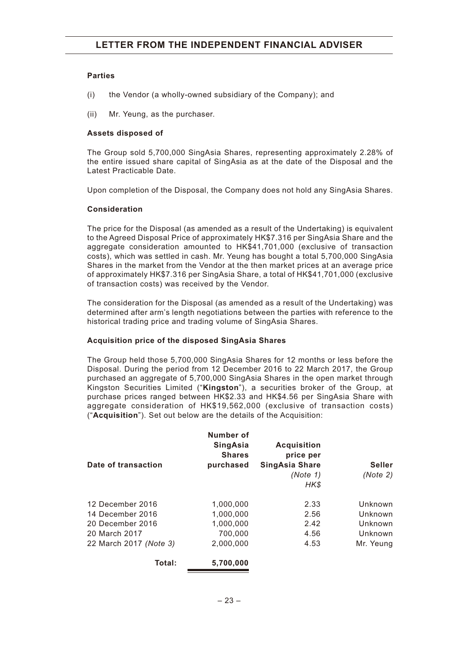#### **Parties**

- (i) the Vendor (a wholly-owned subsidiary of the Company); and
- (ii) Mr. Yeung, as the purchaser.

#### **Assets disposed of**

The Group sold 5,700,000 SingAsia Shares, representing approximately 2.28% of the entire issued share capital of SingAsia as at the date of the Disposal and the Latest Practicable Date.

Upon completion of the Disposal, the Company does not hold any SingAsia Shares.

#### **Consideration**

The price for the Disposal (as amended as a result of the Undertaking) is equivalent to the Agreed Disposal Price of approximately HK\$7.316 per SingAsia Share and the aggregate consideration amounted to HK\$41,701,000 (exclusive of transaction costs), which was settled in cash. Mr. Yeung has bought a total 5,700,000 SingAsia Shares in the market from the Vendor at the then market prices at an average price of approximately HK\$7.316 per SingAsia Share, a total of HK\$41,701,000 (exclusive of transaction costs) was received by the Vendor.

The consideration for the Disposal (as amended as a result of the Undertaking) was determined after arm's length negotiations between the parties with reference to the historical trading price and trading volume of SingAsia Shares.

### **Acquisition price of the disposed SingAsia Shares**

The Group held those 5,700,000 SingAsia Shares for 12 months or less before the Disposal. During the period from 12 December 2016 to 22 March 2017, the Group purchased an aggregate of 5,700,000 SingAsia Shares in the open market through Kingston Securities Limited ("**Kingston**"), a securities broker of the Group, at purchase prices ranged between HK\$2.33 and HK\$4.56 per SingAsia Share with aggregate consideration of HK\$19,562,000 (exclusive of transaction costs) ("**Acquisition**"). Set out below are the details of the Acquisition:

|                        | Number of<br><b>SingAsia</b><br><b>Shares</b> | <b>Acquisition</b><br>price per |               |
|------------------------|-----------------------------------------------|---------------------------------|---------------|
| Date of transaction    | purchased                                     | <b>SingAsia Share</b>           | <b>Seller</b> |
|                        |                                               | (Note 1)                        | (Note 2)      |
|                        |                                               | HK\$                            |               |
| 12 December 2016       | 1.000.000                                     | 2.33                            | Unknown       |
| 14 December 2016       | 1,000,000                                     | 2.56                            | Unknown       |
| 20 December 2016       | 1,000,000                                     | 2.42                            | Unknown       |
| 20 March 2017          | 700,000                                       | 4.56                            | Unknown       |
| 22 March 2017 (Note 3) | 2,000,000                                     | 4.53                            | Mr. Yeung     |
| Total:                 | 5.700.000                                     |                                 |               |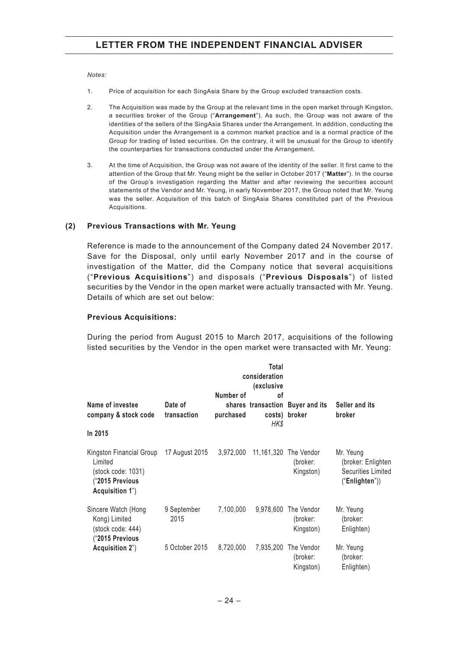#### *Notes:*

- 1. Price of acquisition for each SingAsia Share by the Group excluded transaction costs.
- 2. The Acquisition was made by the Group at the relevant time in the open market through Kingston, a securities broker of the Group ("**Arrangement**"). As such, the Group was not aware of the identities of the sellers of the SingAsia Shares under the Arrangement. In addition, conducting the Acquisition under the Arrangement is a common market practice and is a normal practice of the Group for trading of listed securities. On the contrary, it will be unusual for the Group to identify the counterparties for transactions conducted under the Arrangement.
- 3. At the time of Acquisition, the Group was not aware of the identity of the seller. It first came to the attention of the Group that Mr. Yeung might be the seller in October 2017 ("**Matter**"). In the course of the Group's investigation regarding the Matter and after reviewing the securities account statements of the Vendor and Mr. Yeung, in early November 2017, the Group noted that Mr. Yeung was the seller. Acquisition of this batch of SingAsia Shares constituted part of the Previous Acquisitions.

#### **(2) Previous Transactions with Mr. Yeung**

Reference is made to the announcement of the Company dated 24 November 2017. Save for the Disposal, only until early November 2017 and in the course of investigation of the Matter, did the Company notice that several acquisitions ("**Previous Acquisitions**") and disposals ("**Previous Disposals**") of listed securities by the Vendor in the open market were actually transacted with Mr. Yeung. Details of which are set out below:

#### **Previous Acquisitions:**

During the period from August 2015 to March 2017, acquisitions of the following listed securities by the Vendor in the open market were transacted with Mr. Yeung:

|                                                                                                |                        | consideration<br>Number of |            |                                                   |                                                                                |
|------------------------------------------------------------------------------------------------|------------------------|----------------------------|------------|---------------------------------------------------|--------------------------------------------------------------------------------|
| Name of investee<br>company & stock code                                                       | Date of<br>transaction | purchased                  | οf<br>HK\$ | shares transaction Buyer and its<br>costs) broker | Seller and its<br>broker                                                       |
| In 2015                                                                                        |                        |                            |            |                                                   |                                                                                |
| Kingston Financial Group<br>Limited<br>(stock code: 1031)<br>"2015 Previous<br>Acquisition 1") | 17 August 2015         | 3,972,000                  |            | 11,161,320 The Vendor<br>(broker:<br>Kingston)    | Mr. Yeung<br>(broker: Enlighten<br><b>Securities Limited</b><br>("Enlighten")) |
| Sincere Watch (Hong<br>Kong) Limited<br>(stock code: 444)<br>("2015 Previous                   | 9 September<br>2015    | 7,100,000                  | 9,978,600  | The Vendor<br>(broker:<br>Kingston)               | Mr. Yeung<br>(broker:<br>Enlighten)                                            |
| Acquisition 2")                                                                                | 5 October 2015         | 8,720,000                  | 7,935,200  | The Vendor<br>(broker:<br>Kingston)               | Mr. Yeung<br>(broker:<br>Enlighten)                                            |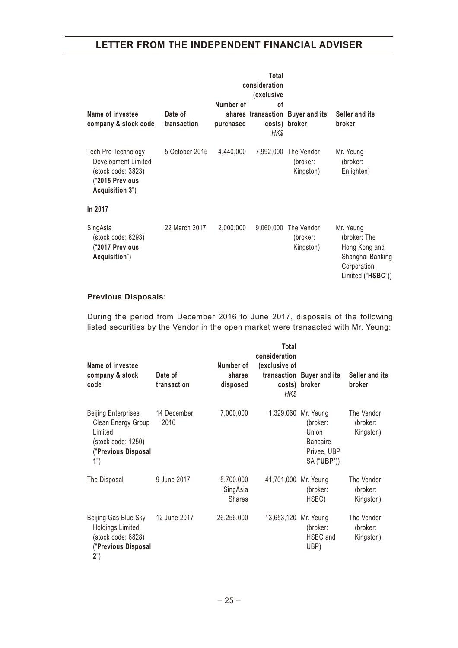| Name of investee<br>company & stock code                                                              | Date of<br>transaction | Number of<br>purchased | Total<br>consideration<br>(exclusive<br>Ωf<br>HK\$ | shares transaction Buyer and its<br>costs) broker | Seller and its<br>broker                                                                           |
|-------------------------------------------------------------------------------------------------------|------------------------|------------------------|----------------------------------------------------|---------------------------------------------------|----------------------------------------------------------------------------------------------------|
| Tech Pro Technology<br>Development Limited<br>(stock code: 3823)<br>"2015 Previous<br>Acquisition 3") | 5 October 2015         | 4,440,000              |                                                    | 7,992,000 The Vendor<br>(broker:<br>Kingston)     | Mr. Yeung<br>(broker:<br>Enlighten)                                                                |
| In 2017                                                                                               |                        |                        |                                                    |                                                   |                                                                                                    |
| SingAsia<br>(stock code: 8293)<br>("2017 Previous<br>Acquisition")                                    | 22 March 2017          | 2,000,000              | 9,060,000                                          | The Vendor<br>(broker:<br>Kingston)               | Mr. Yeung<br>(broker: The<br>Hong Kong and<br>Shanghai Banking<br>Corporation<br>Limited ("HSBC")) |

## **Previous Disposals:**

During the period from December 2016 to June 2017, disposals of the following listed securities by the Vendor in the open market were transacted with Mr. Yeung:

| Name of investee<br>company & stock<br>code                                                                     | Date of<br>transaction | Number of<br>shares<br>disposed        | Total<br>consideration<br>(exclusive of<br>HK\$ | transaction Buyer and its<br>costs) broker                                                         | Seller and its<br>broker            |
|-----------------------------------------------------------------------------------------------------------------|------------------------|----------------------------------------|-------------------------------------------------|----------------------------------------------------------------------------------------------------|-------------------------------------|
| <b>Beijing Enterprises</b><br>Clean Energy Group<br>Limited<br>(stock code: 1250)<br>("Previous Disposal<br>1") | 14 December<br>2016    | 7,000,000                              |                                                 | 1,329,060 Mr. Yeung<br>(broker:<br>Union<br><b>Bancaire</b><br>Privee, UBP<br>SA (" <b>UBP</b> ")) | The Vendor<br>(broker:<br>Kingston) |
| The Disposal                                                                                                    | 9 June 2017            | 5,700,000<br>SingAsia<br><b>Shares</b> | 41,701,000 Mr. Yeung                            | (broker:<br>HSBC)                                                                                  | The Vendor<br>(broker:<br>Kingston) |
| Beijing Gas Blue Sky<br><b>Holdings Limited</b><br>(stock code: 6828)<br>("Previous Disposal<br>2")             | 12 June 2017           | 26,256,000                             | 13,653,120 Mr. Yeung                            | (broker:<br>HSBC and<br>UBP)                                                                       | The Vendor<br>(broker:<br>Kingston) |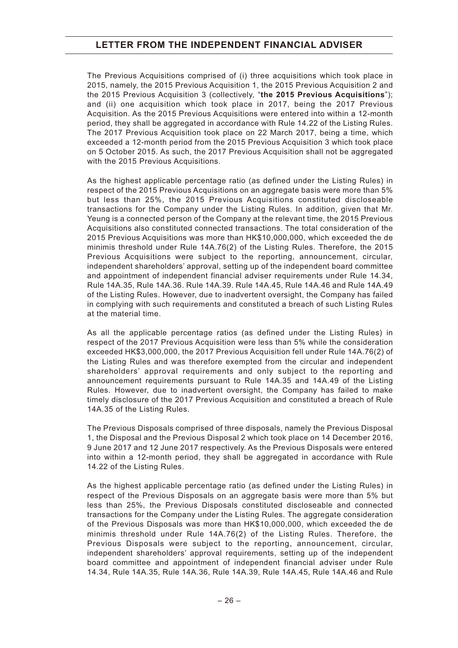The Previous Acquisitions comprised of (i) three acquisitions which took place in 2015, namely, the 2015 Previous Acquisition 1, the 2015 Previous Acquisition 2 and the 2015 Previous Acquisition 3 (collectively, "**the 2015 Previous Acquisitions**"); and (ii) one acquisition which took place in 2017, being the 2017 Previous Acquisition. As the 2015 Previous Acquisitions were entered into within a 12-month period, they shall be aggregated in accordance with Rule 14.22 of the Listing Rules. The 2017 Previous Acquisition took place on 22 March 2017, being a time, which exceeded a 12-month period from the 2015 Previous Acquisition 3 which took place on 5 October 2015. As such, the 2017 Previous Acquisition shall not be aggregated with the 2015 Previous Acquisitions.

As the highest applicable percentage ratio (as defined under the Listing Rules) in respect of the 2015 Previous Acquisitions on an aggregate basis were more than 5% but less than 25%, the 2015 Previous Acquisitions constituted discloseable transactions for the Company under the Listing Rules. In addition, given that Mr. Yeung is a connected person of the Company at the relevant time, the 2015 Previous Acquisitions also constituted connected transactions. The total consideration of the 2015 Previous Acquisitions was more than HK\$10,000,000, which exceeded the de minimis threshold under Rule 14A.76(2) of the Listing Rules. Therefore, the 2015 Previous Acquisitions were subject to the reporting, announcement, circular, independent shareholders' approval, setting up of the independent board committee and appointment of independent financial adviser requirements under Rule 14.34, Rule 14A.35, Rule 14A.36. Rule 14A.39. Rule 14A.45, Rule 14A.46 and Rule 14A.49 of the Listing Rules. However, due to inadvertent oversight, the Company has failed in complying with such requirements and constituted a breach of such Listing Rules at the material time.

As all the applicable percentage ratios (as defined under the Listing Rules) in respect of the 2017 Previous Acquisition were less than 5% while the consideration exceeded HK\$3,000,000, the 2017 Previous Acquisition fell under Rule 14A.76(2) of the Listing Rules and was therefore exempted from the circular and independent shareholders' approval requirements and only subject to the reporting and announcement requirements pursuant to Rule 14A.35 and 14A.49 of the Listing Rules. However, due to inadvertent oversight, the Company has failed to make timely disclosure of the 2017 Previous Acquisition and constituted a breach of Rule 14A.35 of the Listing Rules.

The Previous Disposals comprised of three disposals, namely the Previous Disposal 1, the Disposal and the Previous Disposal 2 which took place on 14 December 2016, 9 June 2017 and 12 June 2017 respectively. As the Previous Disposals were entered into within a 12-month period, they shall be aggregated in accordance with Rule 14.22 of the Listing Rules.

As the highest applicable percentage ratio (as defined under the Listing Rules) in respect of the Previous Disposals on an aggregate basis were more than 5% but less than 25%, the Previous Disposals constituted discloseable and connected transactions for the Company under the Listing Rules. The aggregate consideration of the Previous Disposals was more than HK\$10,000,000, which exceeded the de minimis threshold under Rule 14A.76(2) of the Listing Rules. Therefore, the Previous Disposals were subject to the reporting, announcement, circular, independent shareholders' approval requirements, setting up of the independent board committee and appointment of independent financial adviser under Rule 14.34, Rule 14A.35, Rule 14A.36, Rule 14A.39, Rule 14A.45, Rule 14A.46 and Rule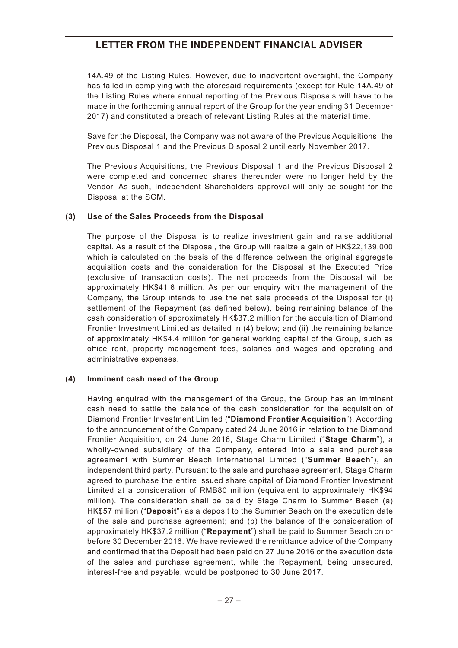14A.49 of the Listing Rules. However, due to inadvertent oversight, the Company has failed in complying with the aforesaid requirements (except for Rule 14A.49 of the Listing Rules where annual reporting of the Previous Disposals will have to be made in the forthcoming annual report of the Group for the year ending 31 December 2017) and constituted a breach of relevant Listing Rules at the material time.

Save for the Disposal, the Company was not aware of the Previous Acquisitions, the Previous Disposal 1 and the Previous Disposal 2 until early November 2017.

The Previous Acquisitions, the Previous Disposal 1 and the Previous Disposal 2 were completed and concerned shares thereunder were no longer held by the Vendor. As such, Independent Shareholders approval will only be sought for the Disposal at the SGM.

#### **(3) Use of the Sales Proceeds from the Disposal**

The purpose of the Disposal is to realize investment gain and raise additional capital. As a result of the Disposal, the Group will realize a gain of HK\$22,139,000 which is calculated on the basis of the difference between the original aggregate acquisition costs and the consideration for the Disposal at the Executed Price (exclusive of transaction costs). The net proceeds from the Disposal will be approximately HK\$41.6 million. As per our enquiry with the management of the Company, the Group intends to use the net sale proceeds of the Disposal for (i) settlement of the Repayment (as defined below), being remaining balance of the cash consideration of approximately HK\$37.2 million for the acquisition of Diamond Frontier Investment Limited as detailed in (4) below; and (ii) the remaining balance of approximately HK\$4.4 million for general working capital of the Group, such as office rent, property management fees, salaries and wages and operating and administrative expenses.

#### **(4) Imminent cash need of the Group**

Having enquired with the management of the Group, the Group has an imminent cash need to settle the balance of the cash consideration for the acquisition of Diamond Frontier Investment Limited ("**Diamond Frontier Acquisition**"). According to the announcement of the Company dated 24 June 2016 in relation to the Diamond Frontier Acquisition, on 24 June 2016, Stage Charm Limited ("**Stage Charm**"), a wholly-owned subsidiary of the Company, entered into a sale and purchase agreement with Summer Beach International Limited ("**Summer Beach**"), an independent third party. Pursuant to the sale and purchase agreement, Stage Charm agreed to purchase the entire issued share capital of Diamond Frontier Investment Limited at a consideration of RMB80 million (equivalent to approximately HK\$94 million). The consideration shall be paid by Stage Charm to Summer Beach (a) HK\$57 million ("**Deposit**") as a deposit to the Summer Beach on the execution date of the sale and purchase agreement; and (b) the balance of the consideration of approximately HK\$37.2 million ("**Repayment**") shall be paid to Summer Beach on or before 30 December 2016. We have reviewed the remittance advice of the Company and confirmed that the Deposit had been paid on 27 June 2016 or the execution date of the sales and purchase agreement, while the Repayment, being unsecured, interest-free and payable, would be postponed to 30 June 2017.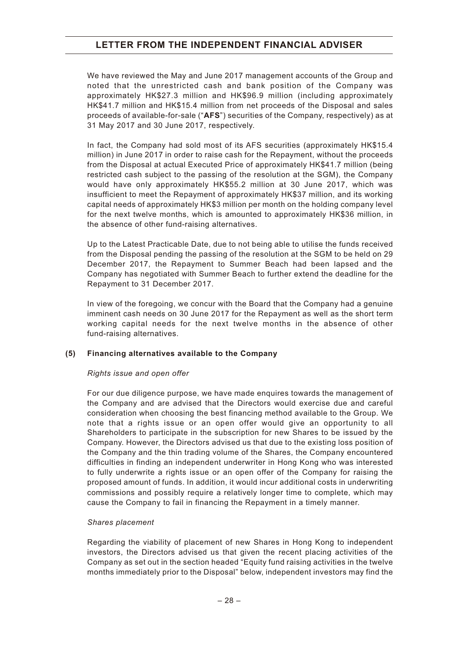We have reviewed the May and June 2017 management accounts of the Group and noted that the unrestricted cash and bank position of the Company was approximately HK\$27.3 million and HK\$96.9 million (including approximately HK\$41.7 million and HK\$15.4 million from net proceeds of the Disposal and sales proceeds of available-for-sale ("**AFS**") securities of the Company, respectively) as at 31 May 2017 and 30 June 2017, respectively.

In fact, the Company had sold most of its AFS securities (approximately HK\$15.4 million) in June 2017 in order to raise cash for the Repayment, without the proceeds from the Disposal at actual Executed Price of approximately HK\$41.7 million (being restricted cash subject to the passing of the resolution at the SGM), the Company would have only approximately HK\$55.2 million at 30 June 2017, which was insufficient to meet the Repayment of approximately HK\$37 million, and its working capital needs of approximately HK\$3 million per month on the holding company level for the next twelve months, which is amounted to approximately HK\$36 million, in the absence of other fund-raising alternatives.

Up to the Latest Practicable Date, due to not being able to utilise the funds received from the Disposal pending the passing of the resolution at the SGM to be held on 29 December 2017, the Repayment to Summer Beach had been lapsed and the Company has negotiated with Summer Beach to further extend the deadline for the Repayment to 31 December 2017.

In view of the foregoing, we concur with the Board that the Company had a genuine imminent cash needs on 30 June 2017 for the Repayment as well as the short term working capital needs for the next twelve months in the absence of other fund-raising alternatives.

#### **(5) Financing alternatives available to the Company**

#### *Rights issue and open offer*

For our due diligence purpose, we have made enquires towards the management of the Company and are advised that the Directors would exercise due and careful consideration when choosing the best financing method available to the Group. We note that a rights issue or an open offer would give an opportunity to all Shareholders to participate in the subscription for new Shares to be issued by the Company. However, the Directors advised us that due to the existing loss position of the Company and the thin trading volume of the Shares, the Company encountered difficulties in finding an independent underwriter in Hong Kong who was interested to fully underwrite a rights issue or an open offer of the Company for raising the proposed amount of funds. In addition, it would incur additional costs in underwriting commissions and possibly require a relatively longer time to complete, which may cause the Company to fail in financing the Repayment in a timely manner.

#### *Shares placement*

Regarding the viability of placement of new Shares in Hong Kong to independent investors, the Directors advised us that given the recent placing activities of the Company as set out in the section headed "Equity fund raising activities in the twelve months immediately prior to the Disposal" below, independent investors may find the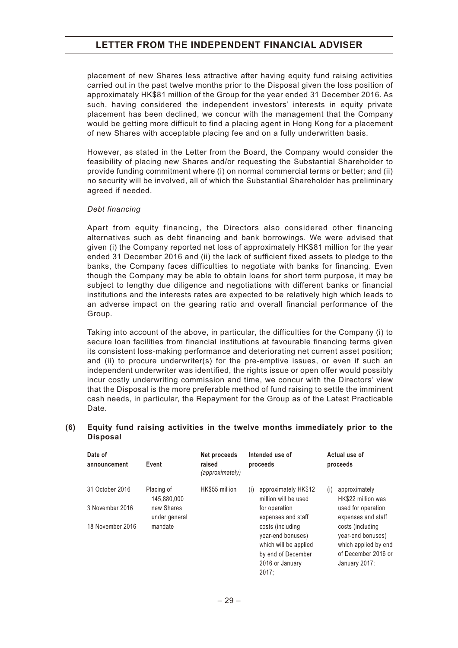placement of new Shares less attractive after having equity fund raising activities carried out in the past twelve months prior to the Disposal given the loss position of approximately HK\$81 million of the Group for the year ended 31 December 2016. As such, having considered the independent investors' interests in equity private placement has been declined, we concur with the management that the Company would be getting more difficult to find a placing agent in Hong Kong for a placement of new Shares with acceptable placing fee and on a fully underwritten basis.

However, as stated in the Letter from the Board, the Company would consider the feasibility of placing new Shares and/or requesting the Substantial Shareholder to provide funding commitment where (i) on normal commercial terms or better; and (ii) no security will be involved, all of which the Substantial Shareholder has preliminary agreed if needed.

#### *Debt financing*

Apart from equity financing, the Directors also considered other financing alternatives such as debt financing and bank borrowings. We were advised that given (i) the Company reported net loss of approximately HK\$81 million for the year ended 31 December 2016 and (ii) the lack of sufficient fixed assets to pledge to the banks, the Company faces difficulties to negotiate with banks for financing. Even though the Company may be able to obtain loans for short term purpose, it may be subject to lengthy due diligence and negotiations with different banks or financial institutions and the interests rates are expected to be relatively high which leads to an adverse impact on the gearing ratio and overall financial performance of the Group.

Taking into account of the above, in particular, the difficulties for the Company (i) to secure loan facilities from financial institutions at favourable financing terms given its consistent loss-making performance and deteriorating net current asset position; and (ii) to procure underwriter(s) for the pre-emptive issues, or even if such an independent underwriter was identified, the rights issue or open offer would possibly incur costly underwriting commission and time, we concur with the Directors' view that the Disposal is the more preferable method of fund raising to settle the imminent cash needs, in particular, the Repayment for the Group as of the Latest Practicable Date.

#### **(6) Equity fund raising activities in the twelve months immediately prior to the Disposal**

| Date of<br>announcement | Event                       | Net proceeds<br>raised<br>(approximately) | Intended use of<br>proceeds                                    | Actual use of<br>proceeds                                     |
|-------------------------|-----------------------------|-------------------------------------------|----------------------------------------------------------------|---------------------------------------------------------------|
| 31 October 2016         | Placing of<br>145.880.000   | HK\$55 million                            | approximately HK\$12<br>(i)<br>million will be used            | approximately<br>(i)<br>HK\$22 million was                    |
| 3 November 2016         | new Shares<br>under general |                                           | for operation<br>expenses and staff                            | used for operation<br>expenses and staff                      |
| 18 November 2016        | mandate                     |                                           | costs (including<br>year-end bonuses)<br>which will be applied | costs (including<br>year-end bonuses)<br>which applied by end |
|                         |                             |                                           | by end of December                                             | of December 2016 or                                           |
|                         |                             |                                           | 2016 or January<br>2017:                                       | January 2017;                                                 |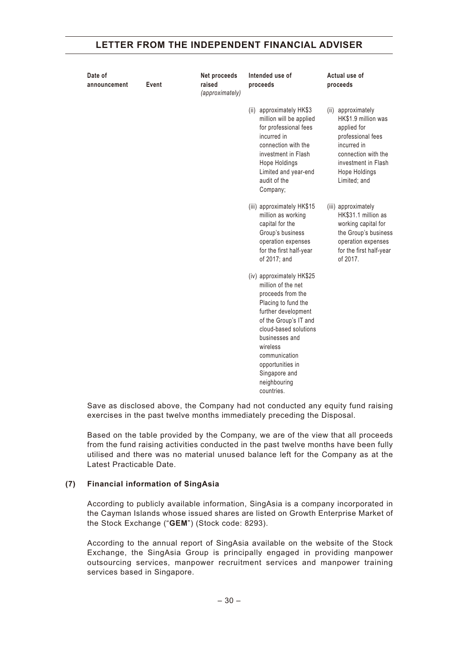| Date of<br>announcement | Event | Net proceeds<br>raised<br>(approximately) | Intended use of<br>proceeds                                                                                                                                                                                                                                              | Actual use of<br>proceeds                                                                                                                                                   |
|-------------------------|-------|-------------------------------------------|--------------------------------------------------------------------------------------------------------------------------------------------------------------------------------------------------------------------------------------------------------------------------|-----------------------------------------------------------------------------------------------------------------------------------------------------------------------------|
|                         |       |                                           | approximately HK\$3<br>(ii)<br>million will be applied<br>for professional fees<br>incurred in<br>connection with the<br>investment in Flash<br>Hope Holdings<br>Limited and year-end<br>audit of the<br>Company;                                                        | (ii) approximately<br>HK\$1.9 million was<br>applied for<br>professional fees<br>incurred in<br>connection with the<br>investment in Flash<br>Hope Holdings<br>Limited; and |
|                         |       |                                           | (iii) approximately HK\$15<br>million as working<br>capital for the<br>Group's business<br>operation expenses<br>for the first half-year<br>of 2017; and                                                                                                                 | (iii) approximately<br>HK\$31.1 million as<br>working capital for<br>the Group's business<br>operation expenses<br>for the first half-year<br>of 2017.                      |
|                         |       |                                           | (iv) approximately HK\$25<br>million of the net<br>proceeds from the<br>Placing to fund the<br>further development<br>of the Group's IT and<br>cloud-based solutions<br>businesses and<br>wireless<br>communication<br>opportunities in<br>Singapore and<br>neighbouring |                                                                                                                                                                             |

Save as disclosed above, the Company had not conducted any equity fund raising exercises in the past twelve months immediately preceding the Disposal.

Based on the table provided by the Company, we are of the view that all proceeds from the fund raising activities conducted in the past twelve months have been fully utilised and there was no material unused balance left for the Company as at the Latest Practicable Date.

#### **(7) Financial information of SingAsia**

According to publicly available information, SingAsia is a company incorporated in the Cayman Islands whose issued shares are listed on Growth Enterprise Market of the Stock Exchange ("**GEM**") (Stock code: 8293).

According to the annual report of SingAsia available on the website of the Stock Exchange, the SingAsia Group is principally engaged in providing manpower outsourcing services, manpower recruitment services and manpower training services based in Singapore.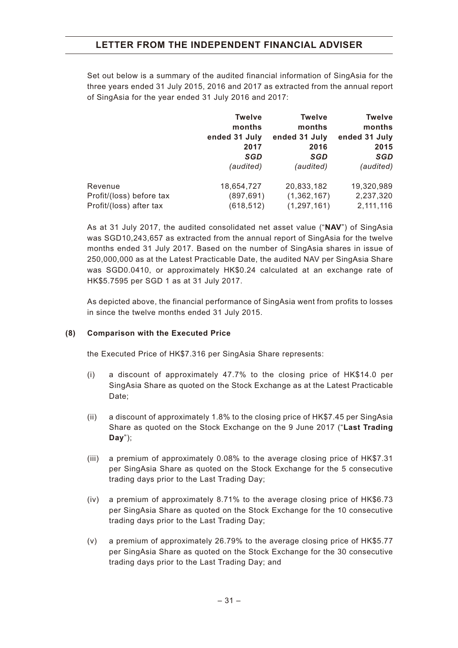Set out below is a summary of the audited financial information of SingAsia for the three years ended 31 July 2015, 2016 and 2017 as extracted from the annual report of SingAsia for the year ended 31 July 2016 and 2017:

|                          | <b>Twelve</b><br>months<br>ended 31 July<br>2017<br>SGD | <b>Twelve</b><br>months<br>ended 31 July<br>2016<br>SGD | <b>Twelve</b><br>months<br>ended 31 July<br>2015<br>SGD |
|--------------------------|---------------------------------------------------------|---------------------------------------------------------|---------------------------------------------------------|
| Revenue                  | (audited)<br>18,654,727                                 | (audited)<br>20,833,182                                 | (audited)<br>19,320,989                                 |
|                          |                                                         |                                                         |                                                         |
| Profit/(loss) before tax | (897, 691)                                              | (1,362,167)                                             | 2,237,320                                               |
| Profit/(loss) after tax  | (618, 512)                                              | (1, 297, 161)                                           | 2,111,116                                               |

As at 31 July 2017, the audited consolidated net asset value ("**NAV**") of SingAsia was SGD10,243,657 as extracted from the annual report of SingAsia for the twelve months ended 31 July 2017. Based on the number of SingAsia shares in issue of 250,000,000 as at the Latest Practicable Date, the audited NAV per SingAsia Share was SGD0.0410, or approximately HK\$0.24 calculated at an exchange rate of HK\$5.7595 per SGD 1 as at 31 July 2017.

As depicted above, the financial performance of SingAsia went from profits to losses in since the twelve months ended 31 July 2015.

#### **(8) Comparison with the Executed Price**

the Executed Price of HK\$7.316 per SingAsia Share represents:

- (i) a discount of approximately 47.7% to the closing price of HK\$14.0 per SingAsia Share as quoted on the Stock Exchange as at the Latest Practicable Date;
- (ii) a discount of approximately 1.8% to the closing price of HK\$7.45 per SingAsia Share as quoted on the Stock Exchange on the 9 June 2017 ("**Last Trading Day**");
- (iii) a premium of approximately 0.08% to the average closing price of HK\$7.31 per SingAsia Share as quoted on the Stock Exchange for the 5 consecutive trading days prior to the Last Trading Day;
- (iv) a premium of approximately 8.71% to the average closing price of HK\$6.73 per SingAsia Share as quoted on the Stock Exchange for the 10 consecutive trading days prior to the Last Trading Day;
- (v) a premium of approximately 26.79% to the average closing price of HK\$5.77 per SingAsia Share as quoted on the Stock Exchange for the 30 consecutive trading days prior to the Last Trading Day; and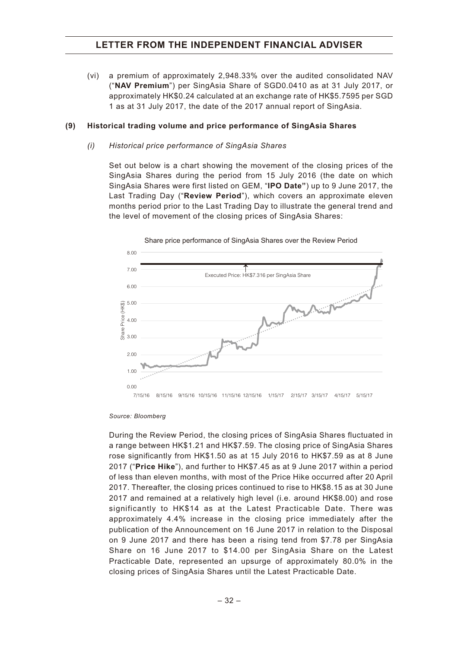(vi) a premium of approximately 2,948.33% over the audited consolidated NAV ("**NAV Premium**") per SingAsia Share of SGD0.0410 as at 31 July 2017, or approximately HK\$0.24 calculated at an exchange rate of HK\$5.7595 per SGD 1 as at 31 July 2017, the date of the 2017 annual report of SingAsia.

#### **(9) Historical trading volume and price performance of SingAsia Shares**

#### *(i) Historical price performance of SingAsia Shares*

Set out below is a chart showing the movement of the closing prices of the SingAsia Shares during the period from 15 July 2016 (the date on which SingAsia Shares were first listed on GEM, "**IPO Date"**) up to 9 June 2017, the Last Trading Day ("**Review Period**"), which covers an approximate eleven months period prior to the Last Trading Day to illustrate the general trend and the level of movement of the closing prices of SingAsia Shares:



Share price performance of SingAsia Shares over the Review Period

#### *Source: Bloomberg*

During the Review Period, the closing prices of SingAsia Shares fluctuated in a range between HK\$1.21 and HK\$7.59. The closing price of SingAsia Shares rose significantly from HK\$1.50 as at 15 July 2016 to HK\$7.59 as at 8 June 2017 ("**Price Hike**"), and further to HK\$7.45 as at 9 June 2017 within a period of less than eleven months, with most of the Price Hike occurred after 20 April 2017. Thereafter, the closing prices continued to rise to HK\$8.15 as at 30 June 2017 and remained at a relatively high level (i.e. around HK\$8.00) and rose significantly to HK\$14 as at the Latest Practicable Date. There was approximately 4.4% increase in the closing price immediately after the publication of the Announcement on 16 June 2017 in relation to the Disposal on 9 June 2017 and there has been a rising tend from \$7.78 per SingAsia Share on 16 June 2017 to \$14.00 per SingAsia Share on the Latest Practicable Date, represented an upsurge of approximately 80.0% in the closing prices of SingAsia Shares until the Latest Practicable Date.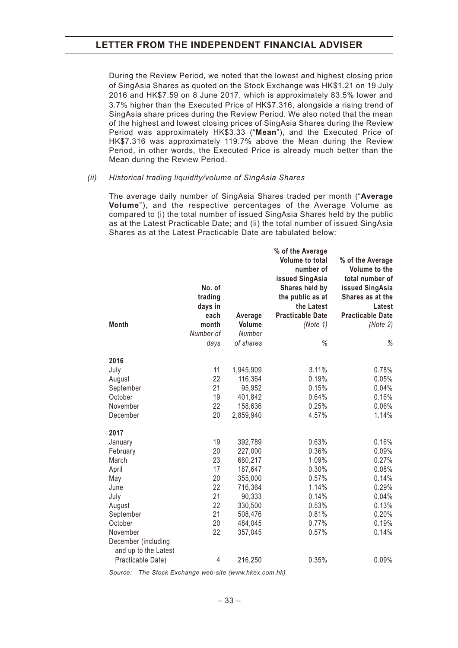During the Review Period, we noted that the lowest and highest closing price of SingAsia Shares as quoted on the Stock Exchange was HK\$1.21 on 19 July 2016 and HK\$7.59 on 8 June 2017, which is approximately 83.5% lower and 3.7% higher than the Executed Price of HK\$7.316, alongside a rising trend of SingAsia share prices during the Review Period. We also noted that the mean of the highest and lowest closing prices of SingAsia Shares during the Review Period was approximately HK\$3.33 ("**Mean**"), and the Executed Price of HK\$7.316 was approximately 119.7% above the Mean during the Review Period, in other words, the Executed Price is already much better than the Mean during the Review Period.

#### *(ii) Historical trading liquidity/volume of SingAsia Shares*

The average daily number of SingAsia Shares traded per month ("**Average Volume**"), and the respective percentages of the Average Volume as compared to (i) the total number of issued SingAsia Shares held by the public as at the Latest Practicable Date; and (ii) the total number of issued SingAsia Shares as at the Latest Practicable Date are tabulated below:

|                      |                 |                    | % of the Average<br><b>Volume to total</b> |                                   |
|----------------------|-----------------|--------------------|--------------------------------------------|-----------------------------------|
|                      |                 |                    | number of                                  | % of the Average<br>Volume to the |
|                      |                 |                    | issued SingAsia                            | total number of                   |
|                      | No. of          |                    | Shares held by                             | issued SingAsia                   |
|                      | trading         |                    | the public as at                           | Shares as at the                  |
|                      | days in<br>each | Average            | the Latest<br><b>Practicable Date</b>      | Latest<br><b>Practicable Date</b> |
| <b>Month</b>         | month           | Volume             | (Note 1)                                   | (Note 2)                          |
|                      | Number of       | Number             |                                            |                                   |
|                      | days            | of shares          | %                                          | %                                 |
| 2016                 |                 |                    |                                            |                                   |
| July                 | 11              | 1,945,909          | 3.11%                                      | 0.78%                             |
| August               | 22              | 116,364            | 0.19%                                      | 0.05%                             |
| September            | 21              | 95,952             | 0.15%                                      | 0.04%                             |
| October              | 19              | 401,842            | 0.64%                                      | 0.16%                             |
| November             | 22              | 158,636            | 0.25%                                      | 0.06%                             |
| December             | 20              | 2,859,940          | 4.57%                                      | 1.14%                             |
| 2017                 |                 |                    |                                            |                                   |
| January              | 19              | 392,789            | 0.63%                                      | 0.16%                             |
| February             | 20              | 227,000            | 0.36%                                      | 0.09%                             |
| March                | 23              | 680,217            | 1.09%                                      | 0.27%                             |
| April                | 17              | 187,647            | 0.30%                                      | 0.08%                             |
| May                  | 20              | 355,000            | 0.57%                                      | 0.14%                             |
| June                 | 22              | 716,364            | 1.14%                                      | 0.29%                             |
| July                 | 21              | 90,333             | 0.14%                                      | 0.04%                             |
| August               | 22<br>21        | 330,500            | 0.53%                                      | 0.13%                             |
| September<br>October |                 | 508,476            | 0.81%                                      | 0.20%                             |
| November             | 20<br>22        | 484,045<br>357,045 | 0.77%<br>0.57%                             | 0.19%<br>0.14%                    |
| December (including  |                 |                    |                                            |                                   |
| and up to the Latest |                 |                    |                                            |                                   |
| Practicable Date)    | 4               | 216,250            | 0.35%                                      | 0.09%                             |
|                      |                 |                    |                                            |                                   |

*Source: The Stock Exchange web-site (<www.hkex.com.hk>)*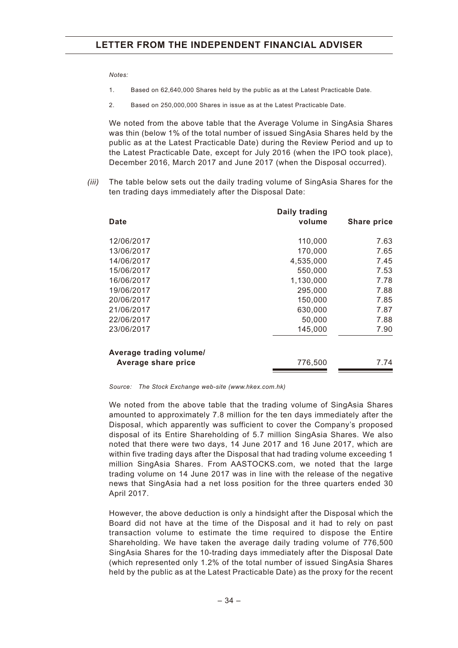*Notes:*

- 1. Based on 62,640,000 Shares held by the public as at the Latest Practicable Date.
- 2. Based on 250,000,000 Shares in issue as at the Latest Practicable Date.

We noted from the above table that the Average Volume in SingAsia Shares was thin (below 1% of the total number of issued SingAsia Shares held by the public as at the Latest Practicable Date) during the Review Period and up to the Latest Practicable Date, except for July 2016 (when the IPO took place), December 2016, March 2017 and June 2017 (when the Disposal occurred).

*(iii)* The table below sets out the daily trading volume of SingAsia Shares for the ten trading days immediately after the Disposal Date:

|                         | Daily trading |                    |
|-------------------------|---------------|--------------------|
| Date                    | volume        | <b>Share price</b> |
| 12/06/2017              | 110,000       | 7.63               |
| 13/06/2017              | 170,000       | 7.65               |
| 14/06/2017              | 4,535,000     | 7.45               |
| 15/06/2017              | 550,000       | 7.53               |
| 16/06/2017              | 1,130,000     | 7.78               |
| 19/06/2017              | 295,000       | 7.88               |
| 20/06/2017              | 150,000       | 7.85               |
| 21/06/2017              | 630,000       | 7.87               |
| 22/06/2017              | 50,000        | 7.88               |
| 23/06/2017              | 145,000       | 7.90               |
| Average trading volume/ |               |                    |
| Average share price     | 776,500       | 7.74               |

*Source: The Stock Exchange web-site (<www.hkex.com.hk>)*

We noted from the above table that the trading volume of SingAsia Shares amounted to approximately 7.8 million for the ten days immediately after the Disposal, which apparently was sufficient to cover the Company's proposed disposal of its Entire Shareholding of 5.7 million SingAsia Shares. We also noted that there were two days, 14 June 2017 and 16 June 2017, which are within five trading days after the Disposal that had trading volume exceeding 1 million SingAsia Shares. From AASTOCKS.com, we noted that the large trading volume on 14 June 2017 was in line with the release of the negative news that SingAsia had a net loss position for the three quarters ended 30 April 2017.

However, the above deduction is only a hindsight after the Disposal which the Board did not have at the time of the Disposal and it had to rely on past transaction volume to estimate the time required to dispose the Entire Shareholding. We have taken the average daily trading volume of 776,500 SingAsia Shares for the 10-trading days immediately after the Disposal Date (which represented only 1.2% of the total number of issued SingAsia Shares held by the public as at the Latest Practicable Date) as the proxy for the recent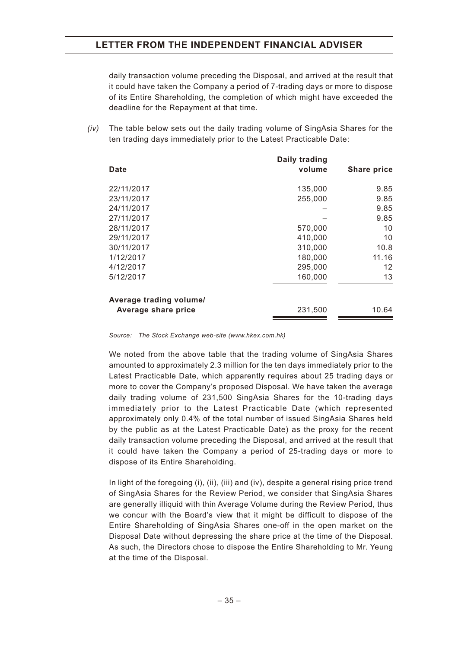daily transaction volume preceding the Disposal, and arrived at the result that it could have taken the Company a period of 7-trading days or more to dispose of its Entire Shareholding, the completion of which might have exceeded the deadline for the Repayment at that time.

*(iv)* The table below sets out the daily trading volume of SingAsia Shares for the ten trading days immediately prior to the Latest Practicable Date:

|                         | Daily trading |                    |
|-------------------------|---------------|--------------------|
| Date                    | volume        | <b>Share price</b> |
| 22/11/2017              | 135,000       | 9.85               |
| 23/11/2017              | 255,000       | 9.85               |
| 24/11/2017              |               | 9.85               |
| 27/11/2017              |               | 9.85               |
| 28/11/2017              | 570,000       | 10                 |
| 29/11/2017              | 410,000       | 10                 |
| 30/11/2017              | 310,000       | 10.8               |
| 1/12/2017               | 180,000       | 11.16              |
| 4/12/2017               | 295,000       | 12                 |
| 5/12/2017               | 160,000       | 13                 |
| Average trading volume/ |               |                    |
| Average share price     | 231,500       | 10.64              |

*Source: The Stock Exchange web-site (<www.hkex.com.hk>)*

We noted from the above table that the trading volume of SingAsia Shares amounted to approximately 2.3 million for the ten days immediately prior to the Latest Practicable Date, which apparently requires about 25 trading days or more to cover the Company's proposed Disposal. We have taken the average daily trading volume of 231,500 SingAsia Shares for the 10-trading days immediately prior to the Latest Practicable Date (which represented approximately only 0.4% of the total number of issued SingAsia Shares held by the public as at the Latest Practicable Date) as the proxy for the recent daily transaction volume preceding the Disposal, and arrived at the result that it could have taken the Company a period of 25-trading days or more to dispose of its Entire Shareholding.

In light of the foregoing (i), (ii), (iii) and (iv), despite a general rising price trend of SingAsia Shares for the Review Period, we consider that SingAsia Shares are generally illiquid with thin Average Volume during the Review Period, thus we concur with the Board's view that it might be difficult to dispose of the Entire Shareholding of SingAsia Shares one-off in the open market on the Disposal Date without depressing the share price at the time of the Disposal. As such, the Directors chose to dispose the Entire Shareholding to Mr. Yeung at the time of the Disposal.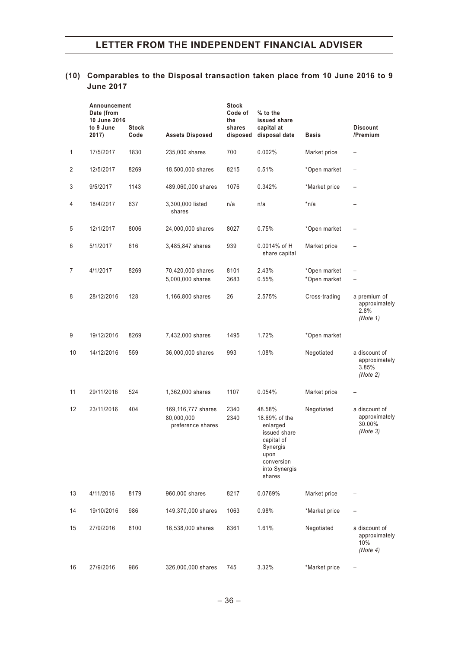## **(10) Comparables to the Disposal transaction taken place from 10 June 2016 to 9 June 2017**

|                   | Announcement<br>Date (from<br>10 June 2016<br>to 9 June<br>2017) | <b>Stock</b><br>Code | <b>Assets Disposed</b>                                | <b>Stock</b><br>Code of<br>the<br>shares<br>disposed | % to the<br>issued share<br>capital at<br>disposal date                                                                        | <b>Basis</b>                 | <b>Discount</b><br>/Premium                          |
|-------------------|------------------------------------------------------------------|----------------------|-------------------------------------------------------|------------------------------------------------------|--------------------------------------------------------------------------------------------------------------------------------|------------------------------|------------------------------------------------------|
| 1                 | 17/5/2017                                                        | 1830                 | 235,000 shares                                        | 700                                                  | 0.002%                                                                                                                         | Market price                 | $\qquad \qquad -$                                    |
| $\overline{c}$    | 12/5/2017                                                        | 8269                 | 18,500,000 shares                                     | 8215                                                 | 0.51%                                                                                                                          | *Open market                 |                                                      |
| 3                 | 9/5/2017                                                         | 1143                 | 489,060,000 shares                                    | 1076                                                 | 0.342%                                                                                                                         | *Market price                |                                                      |
| 4                 | 18/4/2017                                                        | 637                  | 3,300,000 listed<br>shares                            | n/a                                                  | n/a                                                                                                                            | $*n/a$                       |                                                      |
| 5                 | 12/1/2017                                                        | 8006                 | 24,000,000 shares                                     | 8027                                                 | 0.75%                                                                                                                          | *Open market                 | $\overline{\phantom{0}}$                             |
| 6                 | 5/1/2017                                                         | 616                  | 3,485,847 shares                                      | 939                                                  | $0.0014\%$ of H<br>share capital                                                                                               | Market price                 |                                                      |
| 7                 | 4/1/2017                                                         | 8269                 | 70,420,000 shares<br>5,000,000 shares                 | 8101<br>3683                                         | 2.43%<br>0.55%                                                                                                                 | *Open market<br>*Open market |                                                      |
| 8                 | 28/12/2016                                                       | 128                  | 1,166,800 shares                                      | 26                                                   | 2.575%                                                                                                                         | Cross-trading                | a premium of<br>approximately<br>2.8%<br>(Note 1)    |
| 9                 | 19/12/2016                                                       | 8269                 | 7,432,000 shares                                      | 1495                                                 | 1.72%                                                                                                                          | *Open market                 |                                                      |
| 10                | 14/12/2016                                                       | 559                  | 36,000,000 shares                                     | 993                                                  | 1.08%                                                                                                                          | Negotiated                   | a discount of<br>approximately<br>3.85%<br>(Note 2)  |
| 11                | 29/11/2016                                                       | 524                  | 1,362,000 shares                                      | 1107                                                 | 0.054%                                                                                                                         | Market price                 |                                                      |
| $12 \overline{ }$ | 23/11/2016                                                       | 404                  | 169,116,777 shares<br>80,000,000<br>preference shares | 2340<br>2340                                         | 48.58%<br>18.69% of the<br>enlarged<br>issued share<br>capital of<br>Synergis<br>upon<br>conversion<br>into Synergis<br>shares | Negotiated                   | a discount of<br>approximately<br>30.00%<br>(Note 3) |
| 13                | 4/11/2016                                                        | 8179                 | 960,000 shares                                        | 8217                                                 | 0.0769%                                                                                                                        | Market price                 |                                                      |
| 14                | 19/10/2016                                                       | 986                  | 149,370,000 shares                                    | 1063                                                 | 0.98%                                                                                                                          | *Market price                |                                                      |
| 15                | 27/9/2016                                                        | 8100                 | 16,538,000 shares                                     | 8361                                                 | 1.61%                                                                                                                          | Negotiated                   | a discount of<br>approximately<br>10%<br>(Note 4)    |
| 16                | 27/9/2016                                                        | 986                  | 326,000,000 shares                                    | 745                                                  | 3.32%                                                                                                                          | *Market price                |                                                      |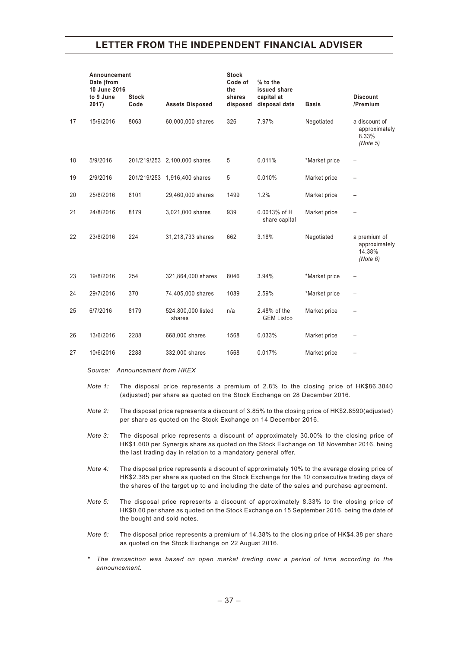|    | Announcement<br>Date (from<br>10 June 2016<br>to 9 June<br>2017) | <b>Stock</b><br>Code | <b>Assets Disposed</b>       | <b>Stock</b><br>Code of<br>the<br>shares<br>disposed | % to the<br>issued share<br>capital at<br>disposal date | <b>Basis</b>  | <b>Discount</b><br>/Premium                         |
|----|------------------------------------------------------------------|----------------------|------------------------------|------------------------------------------------------|---------------------------------------------------------|---------------|-----------------------------------------------------|
| 17 | 15/9/2016                                                        | 8063                 | 60,000,000 shares            | 326                                                  | 7.97%                                                   | Negotiated    | a discount of<br>approximately<br>8.33%<br>(Note 5) |
| 18 | 5/9/2016                                                         |                      | 201/219/253 2,100,000 shares | 5                                                    | 0.011%                                                  | *Market price |                                                     |
| 19 | 2/9/2016                                                         |                      | 201/219/253 1,916,400 shares | 5                                                    | 0.010%                                                  | Market price  |                                                     |
| 20 | 25/8/2016                                                        | 8101                 | 29,460,000 shares            | 1499                                                 | 1.2%                                                    | Market price  |                                                     |
| 21 | 24/8/2016                                                        | 8179                 | 3,021,000 shares             | 939                                                  | 0.0013% of H<br>share capital                           | Market price  |                                                     |
| 22 | 23/8/2016                                                        | 224                  | 31,218,733 shares            | 662                                                  | 3.18%                                                   | Negotiated    | a premium of<br>approximately<br>14.38%<br>(Note 6) |
| 23 | 19/8/2016                                                        | 254                  | 321,864,000 shares           | 8046                                                 | 3.94%                                                   | *Market price |                                                     |
| 24 | 29/7/2016                                                        | 370                  | 74,405,000 shares            | 1089                                                 | 2.59%                                                   | *Market price |                                                     |
| 25 | 6/7/2016                                                         | 8179                 | 524,800,000 listed<br>shares | n/a                                                  | 2.48% of the<br><b>GEM Listco</b>                       | Market price  |                                                     |
| 26 | 13/6/2016                                                        | 2288                 | 668,000 shares               | 1568                                                 | 0.033%                                                  | Market price  | $\qquad \qquad -$                                   |
| 27 | 10/6/2016                                                        | 2288                 | 332,000 shares               | 1568                                                 | 0.017%                                                  | Market price  |                                                     |

- *Source: Announcement from HKEX*
- *Note 1:* The disposal price represents a premium of 2.8% to the closing price of HK\$86.3840 (adjusted) per share as quoted on the Stock Exchange on 28 December 2016.
- *Note 2:* The disposal price represents a discount of 3.85% to the closing price of HK\$2.8590(adjusted) per share as quoted on the Stock Exchange on 14 December 2016.
- *Note 3:* The disposal price represents a discount of approximately 30.00% to the closing price of HK\$1.600 per Synergis share as quoted on the Stock Exchange on 18 November 2016, being the last trading day in relation to a mandatory general offer.
- *Note 4:* The disposal price represents a discount of approximately 10% to the average closing price of HK\$2.385 per share as quoted on the Stock Exchange for the 10 consecutive trading days of the shares of the target up to and including the date of the sales and purchase agreement.
- *Note 5:* The disposal price represents a discount of approximately 8.33% to the closing price of HK\$0.60 per share as quoted on the Stock Exchange on 15 September 2016, being the date of the bought and sold notes.
- *Note 6:* The disposal price represents a premium of 14.38% to the closing price of HK\$4.38 per share as quoted on the Stock Exchange on 22 August 2016.
- *\* The transaction was based on open market trading over a period of time according to the announcement.*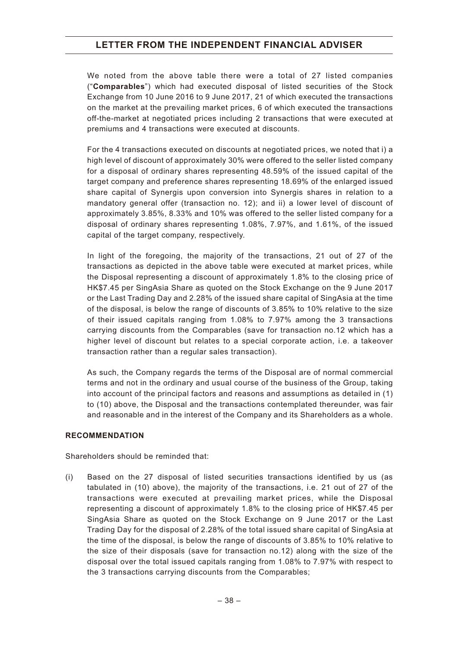We noted from the above table there were a total of 27 listed companies ("**Comparables**") which had executed disposal of listed securities of the Stock Exchange from 10 June 2016 to 9 June 2017, 21 of which executed the transactions on the market at the prevailing market prices, 6 of which executed the transactions off-the-market at negotiated prices including 2 transactions that were executed at premiums and 4 transactions were executed at discounts.

For the 4 transactions executed on discounts at negotiated prices, we noted that i) a high level of discount of approximately 30% were offered to the seller listed company for a disposal of ordinary shares representing 48.59% of the issued capital of the target company and preference shares representing 18.69% of the enlarged issued share capital of Synergis upon conversion into Synergis shares in relation to a mandatory general offer (transaction no. 12); and ii) a lower level of discount of approximately 3.85%, 8.33% and 10% was offered to the seller listed company for a disposal of ordinary shares representing 1.08%, 7.97%, and 1.61%, of the issued capital of the target company, respectively.

In light of the foregoing, the majority of the transactions, 21 out of 27 of the transactions as depicted in the above table were executed at market prices, while the Disposal representing a discount of approximately 1.8% to the closing price of HK\$7.45 per SingAsia Share as quoted on the Stock Exchange on the 9 June 2017 or the Last Trading Day and 2.28% of the issued share capital of SingAsia at the time of the disposal, is below the range of discounts of 3.85% to 10% relative to the size of their issued capitals ranging from 1.08% to 7.97% among the 3 transactions carrying discounts from the Comparables (save for transaction no.12 which has a higher level of discount but relates to a special corporate action, i.e. a takeover transaction rather than a regular sales transaction).

As such, the Company regards the terms of the Disposal are of normal commercial terms and not in the ordinary and usual course of the business of the Group, taking into account of the principal factors and reasons and assumptions as detailed in (1) to (10) above, the Disposal and the transactions contemplated thereunder, was fair and reasonable and in the interest of the Company and its Shareholders as a whole.

#### **RECOMMENDATION**

Shareholders should be reminded that:

(i) Based on the 27 disposal of listed securities transactions identified by us (as tabulated in (10) above), the majority of the transactions, i.e. 21 out of 27 of the transactions were executed at prevailing market prices, while the Disposal representing a discount of approximately 1.8% to the closing price of HK\$7.45 per SingAsia Share as quoted on the Stock Exchange on 9 June 2017 or the Last Trading Day for the disposal of 2.28% of the total issued share capital of SingAsia at the time of the disposal, is below the range of discounts of 3.85% to 10% relative to the size of their disposals (save for transaction no.12) along with the size of the disposal over the total issued capitals ranging from 1.08% to 7.97% with respect to the 3 transactions carrying discounts from the Comparables;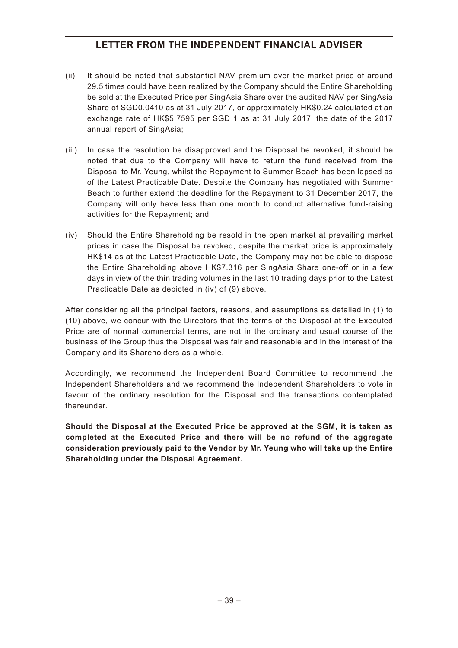- (ii) It should be noted that substantial NAV premium over the market price of around 29.5 times could have been realized by the Company should the Entire Shareholding be sold at the Executed Price per SingAsia Share over the audited NAV per SingAsia Share of SGD0.0410 as at 31 July 2017, or approximately HK\$0.24 calculated at an exchange rate of HK\$5.7595 per SGD 1 as at 31 July 2017, the date of the 2017 annual report of SingAsia;
- (iii) In case the resolution be disapproved and the Disposal be revoked, it should be noted that due to the Company will have to return the fund received from the Disposal to Mr. Yeung, whilst the Repayment to Summer Beach has been lapsed as of the Latest Practicable Date. Despite the Company has negotiated with Summer Beach to further extend the deadline for the Repayment to 31 December 2017, the Company will only have less than one month to conduct alternative fund-raising activities for the Repayment; and
- (iv) Should the Entire Shareholding be resold in the open market at prevailing market prices in case the Disposal be revoked, despite the market price is approximately HK\$14 as at the Latest Practicable Date, the Company may not be able to dispose the Entire Shareholding above HK\$7.316 per SingAsia Share one-off or in a few days in view of the thin trading volumes in the last 10 trading days prior to the Latest Practicable Date as depicted in (iv) of (9) above.

After considering all the principal factors, reasons, and assumptions as detailed in (1) to (10) above, we concur with the Directors that the terms of the Disposal at the Executed Price are of normal commercial terms, are not in the ordinary and usual course of the business of the Group thus the Disposal was fair and reasonable and in the interest of the Company and its Shareholders as a whole.

Accordingly, we recommend the Independent Board Committee to recommend the Independent Shareholders and we recommend the Independent Shareholders to vote in favour of the ordinary resolution for the Disposal and the transactions contemplated thereunder.

**Should the Disposal at the Executed Price be approved at the SGM, it is taken as completed at the Executed Price and there will be no refund of the aggregate consideration previously paid to the Vendor by Mr. Yeung who will take up the Entire Shareholding under the Disposal Agreement.**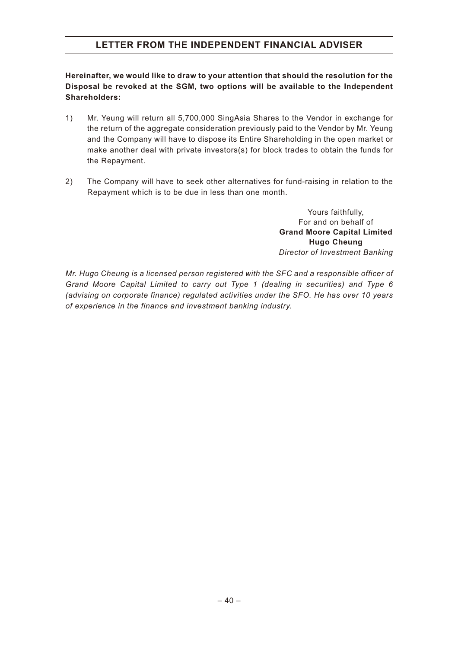**Hereinafter, we would like to draw to your attention that should the resolution for the Disposal be revoked at the SGM, two options will be available to the Independent Shareholders:**

- 1) Mr. Yeung will return all 5,700,000 SingAsia Shares to the Vendor in exchange for the return of the aggregate consideration previously paid to the Vendor by Mr. Yeung and the Company will have to dispose its Entire Shareholding in the open market or make another deal with private investors(s) for block trades to obtain the funds for the Repayment.
- 2) The Company will have to seek other alternatives for fund-raising in relation to the Repayment which is to be due in less than one month.

Yours faithfully, For and on behalf of **Grand Moore Capital Limited Hugo Cheung** *Director of Investment Banking*

*Mr. Hugo Cheung is a licensed person registered with the SFC and a responsible officer of Grand Moore Capital Limited to carry out Type 1 (dealing in securities) and Type 6 (advising on corporate finance) regulated activities under the SFO. He has over 10 years of experience in the finance and investment banking industry.*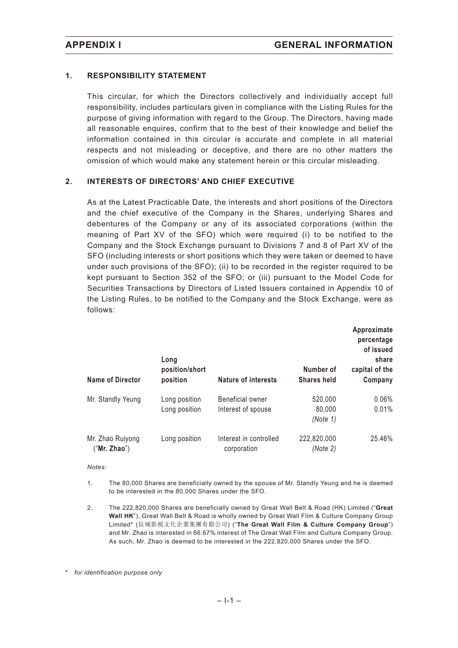#### **1. RESPONSIBILITY STATEMENT**

This circular, for which the Directors collectively and individually accept full responsibility, includes particulars given in compliance with the Listing Rules for the purpose of giving information with regard to the Group. The Directors, having made all reasonable enquires, confirm that to the best of their knowledge and belief the information contained in this circular is accurate and complete in all material respects and not misleading or deceptive, and there are no other matters the omission of which would make any statement herein or this circular misleading.

#### **2. INTERESTS OF DIRECTORS' AND CHIEF EXECUTIVE**

As at the Latest Practicable Date, the interests and short positions of the Directors and the chief executive of the Company in the Shares, underlying Shares and debentures of the Company or any of its associated corporations (within the meaning of Part XV of the SFO) which were required (i) to be notified to the Company and the Stock Exchange pursuant to Divisions 7 and 8 of Part XV of the SFO (including interests or short positions which they were taken or deemed to have under such provisions of the SFO); (ii) to be recorded in the register required to be kept pursuant to Section 352 of the SFO; or (iii) pursuant to the Model Code for Securities Transactions by Directors of Listed Issuers contained in Appendix 10 of the Listing Rules, to be notified to the Company and the Stock Exchange, were as follows:

| <b>Name of Director</b>          | Long<br>position/short<br>position | <b>Nature of interests</b>            | Number of<br><b>Shares held</b> | Approximate<br>percentage<br>of issued<br>share<br>capital of the<br>Company |
|----------------------------------|------------------------------------|---------------------------------------|---------------------------------|------------------------------------------------------------------------------|
|                                  |                                    |                                       |                                 |                                                                              |
| Mr. Standly Yeung                | Long position                      | <b>Beneficial owner</b>               | 520,000                         | $0.06\%$                                                                     |
|                                  | Long position                      | Interest of spouse                    | 80,000                          | 0.01%                                                                        |
|                                  |                                    |                                       | (Note 1)                        |                                                                              |
| Mr. Zhao Ruiyong<br>("Mr. Zhao") | Long position                      | Interest in controlled<br>corporation | 222,820,000<br>(Note 2)         | 25.46%                                                                       |

*Notes:*

- 1. The 80,000 Shares are beneficially owned by the spouse of Mr. Standly Yeung and he is deemed to be interested in the 80,000 Shares under the SFO.
- 2. The 222,820,000 Shares are beneficially owned by Great Wall Belt & Road (HK) Limited ("**Great Wall HK**"), Great Wall Belt & Road is wholly owned by Great Wall Film & Culture Company Group Limited\* (長城影視文化企業集團有限公司) ("**The Great Wall Film & Culture Company Group**") and Mr. Zhao is interested in 66.67% interest of The Great Wall Film and Culture Company Group. As such, Mr. Zhao is deemed to be interested in the 222,820,000 Shares under the SFO.

\* *for identification purpose only*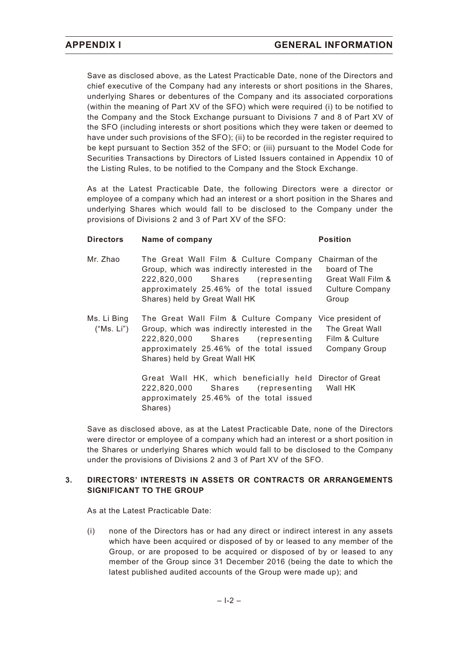Save as disclosed above, as the Latest Practicable Date, none of the Directors and chief executive of the Company had any interests or short positions in the Shares, underlying Shares or debentures of the Company and its associated corporations (within the meaning of Part XV of the SFO) which were required (i) to be notified to the Company and the Stock Exchange pursuant to Divisions 7 and 8 of Part XV of the SFO (including interests or short positions which they were taken or deemed to have under such provisions of the SFO); (ii) to be recorded in the register required to be kept pursuant to Section 352 of the SFO; or (iii) pursuant to the Model Code for Securities Transactions by Directors of Listed Issuers contained in Appendix 10 of the Listing Rules, to be notified to the Company and the Stock Exchange.

As at the Latest Practicable Date, the following Directors were a director or employee of a company which had an interest or a short position in the Shares and underlying Shares which would fall to be disclosed to the Company under the provisions of Divisions 2 and 3 of Part XV of the SFO:

#### **Directors Name of company Construction Position**

- Mr. Zhao The Great Wall Film & Culture Company Chairman of the Group, which was indirectly interested in the 222,820,000 Shares (representing approximately 25.46% of the total issued Shares) held by Great Wall HK board of The Great Wall Film & Culture Company Group Ms. Li Bing ("Ms. Li") The Great Wall Film & Culture Company Vice president of Group, which was indirectly interested in the The Great Wall
	- 222,820,000 Shares (representing approximately 25.46% of the total issued Shares) held by Great Wall HK Film & Culture Company Group

Great Wall HK, which beneficially held Director of Great 222,820,000 Shares (representing approximately 25.46% of the total issued Shares) Wall HK

Save as disclosed above, as at the Latest Practicable Date, none of the Directors were director or employee of a company which had an interest or a short position in the Shares or underlying Shares which would fall to be disclosed to the Company under the provisions of Divisions 2 and 3 of Part XV of the SFO.

#### **3. DIRECTORS' INTERESTS IN ASSETS OR CONTRACTS OR ARRANGEMENTS SIGNIFICANT TO THE GROUP**

As at the Latest Practicable Date:

(i) none of the Directors has or had any direct or indirect interest in any assets which have been acquired or disposed of by or leased to any member of the Group, or are proposed to be acquired or disposed of by or leased to any member of the Group since 31 December 2016 (being the date to which the latest published audited accounts of the Group were made up); and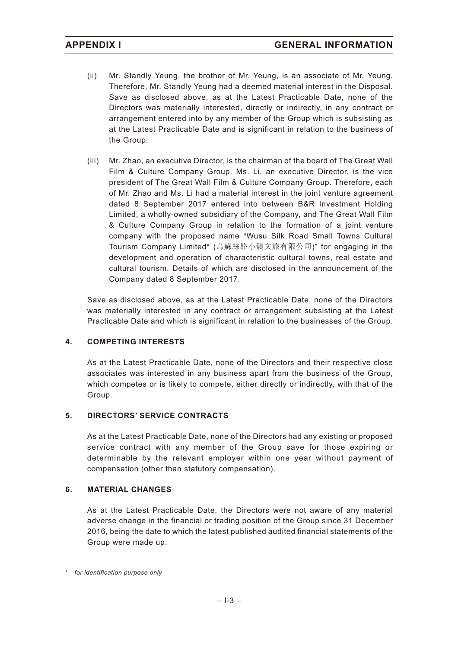- (ii) Mr. Standly Yeung, the brother of Mr. Yeung, is an associate of Mr. Yeung. Therefore, Mr. Standly Yeung had a deemed material interest in the Disposal. Save as disclosed above, as at the Latest Practicable Date, none of the Directors was materially interested, directly or indirectly, in any contract or arrangement entered into by any member of the Group which is subsisting as at the Latest Practicable Date and is significant in relation to the business of the Group.
- (iii) Mr. Zhao, an executive Director, is the chairman of the board of The Great Wall Film & Culture Company Group. Ms. Li, an executive Director, is the vice president of The Great Wall Film & Culture Company Group. Therefore, each of Mr. Zhao and Ms. Li had a material interest in the joint venture agreement dated 8 September 2017 entered into between B&R Investment Holding Limited, a wholly-owned subsidiary of the Company, and The Great Wall Film & Culture Company Group in relation to the formation of a joint venture company with the proposed name "Wusu Silk Road Small Towns Cultural Tourism Company Limited\* (烏蘇絲路小鎮文旅有限公司)" for engaging in the development and operation of characteristic cultural towns, real estate and cultural tourism. Details of which are disclosed in the announcement of the Company dated 8 September 2017.

Save as disclosed above, as at the Latest Practicable Date, none of the Directors was materially interested in any contract or arrangement subsisting at the Latest Practicable Date and which is significant in relation to the businesses of the Group.

#### **4. COMPETING INTERESTS**

As at the Latest Practicable Date, none of the Directors and their respective close associates was interested in any business apart from the business of the Group, which competes or is likely to compete, either directly or indirectly, with that of the Group.

#### **5. DIRECTORS' SERVICE CONTRACTS**

As at the Latest Practicable Date, none of the Directors had any existing or proposed service contract with any member of the Group save for those expiring or determinable by the relevant employer within one year without payment of compensation (other than statutory compensation).

#### **6. MATERIAL CHANGES**

As at the Latest Practicable Date, the Directors were not aware of any material adverse change in the financial or trading position of the Group since 31 December 2016, being the date to which the latest published audited financial statements of the Group were made up.

<sup>\*</sup> *for identification purpose only*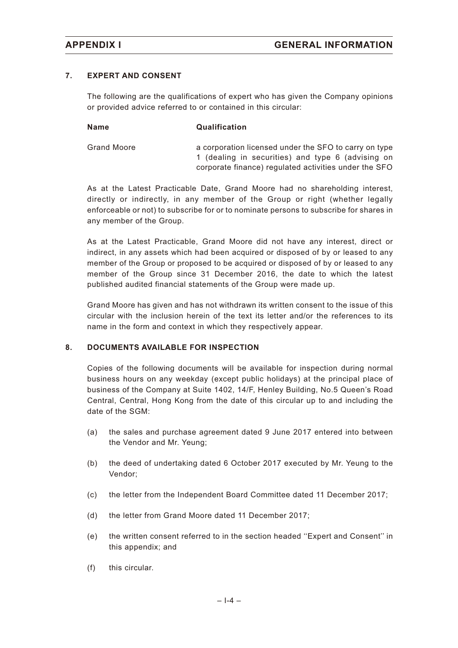#### **7. EXPERT AND CONSENT**

The following are the qualifications of expert who has given the Company opinions or provided advice referred to or contained in this circular:

| <b>Name</b>        | Qualification                                                                                                                                                       |
|--------------------|---------------------------------------------------------------------------------------------------------------------------------------------------------------------|
| <b>Grand Moore</b> | a corporation licensed under the SFO to carry on type<br>1 (dealing in securities) and type 6 (advising on<br>corporate finance) regulated activities under the SFO |

As at the Latest Practicable Date, Grand Moore had no shareholding interest, directly or indirectly, in any member of the Group or right (whether legally enforceable or not) to subscribe for or to nominate persons to subscribe for shares in any member of the Group.

As at the Latest Practicable, Grand Moore did not have any interest, direct or indirect, in any assets which had been acquired or disposed of by or leased to any member of the Group or proposed to be acquired or disposed of by or leased to any member of the Group since 31 December 2016, the date to which the latest published audited financial statements of the Group were made up.

Grand Moore has given and has not withdrawn its written consent to the issue of this circular with the inclusion herein of the text its letter and/or the references to its name in the form and context in which they respectively appear.

#### **8. DOCUMENTS AVAILABLE FOR INSPECTION**

Copies of the following documents will be available for inspection during normal business hours on any weekday (except public holidays) at the principal place of business of the Company at Suite 1402, 14/F, Henley Building, No.5 Queen's Road Central, Central, Hong Kong from the date of this circular up to and including the date of the SGM:

- (a) the sales and purchase agreement dated 9 June 2017 entered into between the Vendor and Mr. Yeung;
- (b) the deed of undertaking dated 6 October 2017 executed by Mr. Yeung to the Vendor;
- (c) the letter from the Independent Board Committee dated 11 December 2017;
- (d) the letter from Grand Moore dated 11 December 2017;
- (e) the written consent referred to in the section headed ''Expert and Consent'' in this appendix; and
- (f) this circular.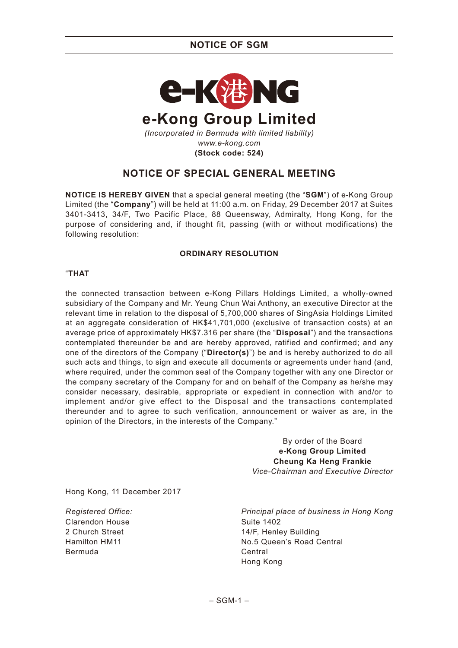## **NOTICE OF SGM**



# **NOTICE OF SPECIAL GENERAL MEETING**

**NOTICE IS HEREBY GIVEN** that a special general meeting (the "**SGM**") of e-Kong Group Limited (the "**Company**") will be held at 11:00 a.m. on Friday, 29 December 2017 at Suites 3401-3413, 34/F, Two Pacific Place, 88 Queensway, Admiralty, Hong Kong, for the purpose of considering and, if thought fit, passing (with or without modifications) the following resolution:

#### **ORDINARY RESOLUTION**

#### "**THAT**

the connected transaction between e-Kong Pillars Holdings Limited, a wholly-owned subsidiary of the Company and Mr. Yeung Chun Wai Anthony, an executive Director at the relevant time in relation to the disposal of 5,700,000 shares of SingAsia Holdings Limited at an aggregate consideration of HK\$41,701,000 (exclusive of transaction costs) at an average price of approximately HK\$7.316 per share (the "**Disposal**") and the transactions contemplated thereunder be and are hereby approved, ratified and confirmed; and any one of the directors of the Company ("**Director(s)**") be and is hereby authorized to do all such acts and things, to sign and execute all documents or agreements under hand (and, where required, under the common seal of the Company together with any one Director or the company secretary of the Company for and on behalf of the Company as he/she may consider necessary, desirable, appropriate or expedient in connection with and/or to implement and/or give effect to the Disposal and the transactions contemplated thereunder and to agree to such verification, announcement or waiver as are, in the opinion of the Directors, in the interests of the Company."

> By order of the Board **e-Kong Group Limited Cheung Ka Heng Frankie** *Vice-Chairman and Executive Director*

Hong Kong, 11 December 2017

*Registered Office:* Clarendon House 2 Church Street Hamilton HM11 Bermuda

*Principal place of business in Hong Kong* Suite 1402 14/F, Henley Building No.5 Queen's Road Central Central Hong Kong